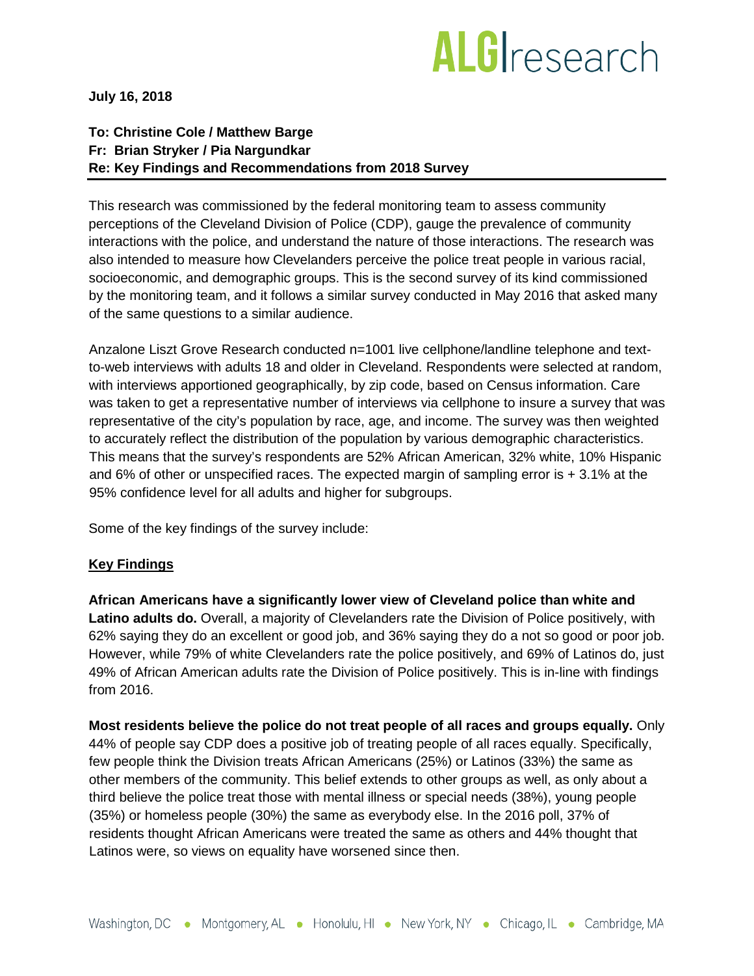# **ALG**research

**July 16, 2018**

## **To: Christine Cole / Matthew Barge Fr: Brian Stryker / Pia Nargundkar Re: Key Findings and Recommendations from 2018 Survey**

This research was commissioned by the federal monitoring team to assess community perceptions of the Cleveland Division of Police (CDP), gauge the prevalence of community interactions with the police, and understand the nature of those interactions. The research was also intended to measure how Clevelanders perceive the police treat people in various racial, socioeconomic, and demographic groups. This is the second survey of its kind commissioned by the monitoring team, and it follows a similar survey conducted in May 2016 that asked many of the same questions to a similar audience.

Anzalone Liszt Grove Research conducted n=1001 live cellphone/landline telephone and textto-web interviews with adults 18 and older in Cleveland. Respondents were selected at random, with interviews apportioned geographically, by zip code, based on Census information. Care was taken to get a representative number of interviews via cellphone to insure a survey that was representative of the city's population by race, age, and income. The survey was then weighted to accurately reflect the distribution of the population by various demographic characteristics. This means that the survey's respondents are 52% African American, 32% white, 10% Hispanic and 6% of other or unspecified races. The expected margin of sampling error is + 3.1% at the 95% confidence level for all adults and higher for subgroups.

Some of the key findings of the survey include:

## **Key Findings**

**African Americans have a significantly lower view of Cleveland police than white and Latino adults do.** Overall, a majority of Clevelanders rate the Division of Police positively, with 62% saying they do an excellent or good job, and 36% saying they do a not so good or poor job. However, while 79% of white Clevelanders rate the police positively, and 69% of Latinos do, just 49% of African American adults rate the Division of Police positively. This is in-line with findings from 2016.

**Most residents believe the police do not treat people of all races and groups equally.** Only 44% of people say CDP does a positive job of treating people of all races equally. Specifically, few people think the Division treats African Americans (25%) or Latinos (33%) the same as other members of the community. This belief extends to other groups as well, as only about a third believe the police treat those with mental illness or special needs (38%), young people (35%) or homeless people (30%) the same as everybody else. In the 2016 poll, 37% of residents thought African Americans were treated the same as others and 44% thought that Latinos were, so views on equality have worsened since then.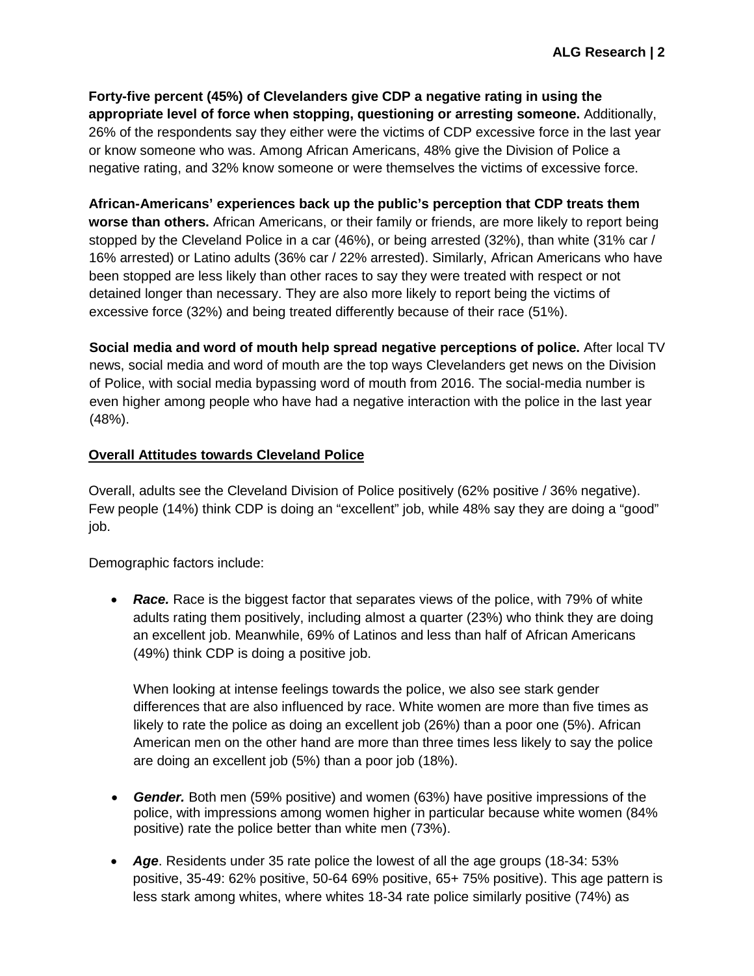**Forty-five percent (45%) of Clevelanders give CDP a negative rating in using the appropriate level of force when stopping, questioning or arresting someone.** Additionally, 26% of the respondents say they either were the victims of CDP excessive force in the last year or know someone who was. Among African Americans, 48% give the Division of Police a negative rating, and 32% know someone or were themselves the victims of excessive force.

**African-Americans' experiences back up the public's perception that CDP treats them worse than others.** African Americans, or their family or friends, are more likely to report being stopped by the Cleveland Police in a car (46%), or being arrested (32%), than white (31% car / 16% arrested) or Latino adults (36% car / 22% arrested). Similarly, African Americans who have been stopped are less likely than other races to say they were treated with respect or not detained longer than necessary. They are also more likely to report being the victims of excessive force (32%) and being treated differently because of their race (51%).

**Social media and word of mouth help spread negative perceptions of police.** After local TV news, social media and word of mouth are the top ways Clevelanders get news on the Division of Police, with social media bypassing word of mouth from 2016. The social-media number is even higher among people who have had a negative interaction with the police in the last year (48%).

## **Overall Attitudes towards Cleveland Police**

Overall, adults see the Cleveland Division of Police positively (62% positive / 36% negative). Few people (14%) think CDP is doing an "excellent" job, while 48% say they are doing a "good" job.

Demographic factors include:

• **Race.** Race is the biggest factor that separates views of the police, with 79% of white adults rating them positively, including almost a quarter (23%) who think they are doing an excellent job. Meanwhile, 69% of Latinos and less than half of African Americans (49%) think CDP is doing a positive job.

When looking at intense feelings towards the police, we also see stark gender differences that are also influenced by race. White women are more than five times as likely to rate the police as doing an excellent job (26%) than a poor one (5%). African American men on the other hand are more than three times less likely to say the police are doing an excellent job (5%) than a poor job (18%).

- *Gender.* Both men (59% positive) and women (63%) have positive impressions of the police, with impressions among women higher in particular because white women (84% positive) rate the police better than white men (73%).
- *Age*. Residents under 35 rate police the lowest of all the age groups (18-34: 53% positive, 35-49: 62% positive, 50-64 69% positive, 65+ 75% positive). This age pattern is less stark among whites, where whites 18-34 rate police similarly positive (74%) as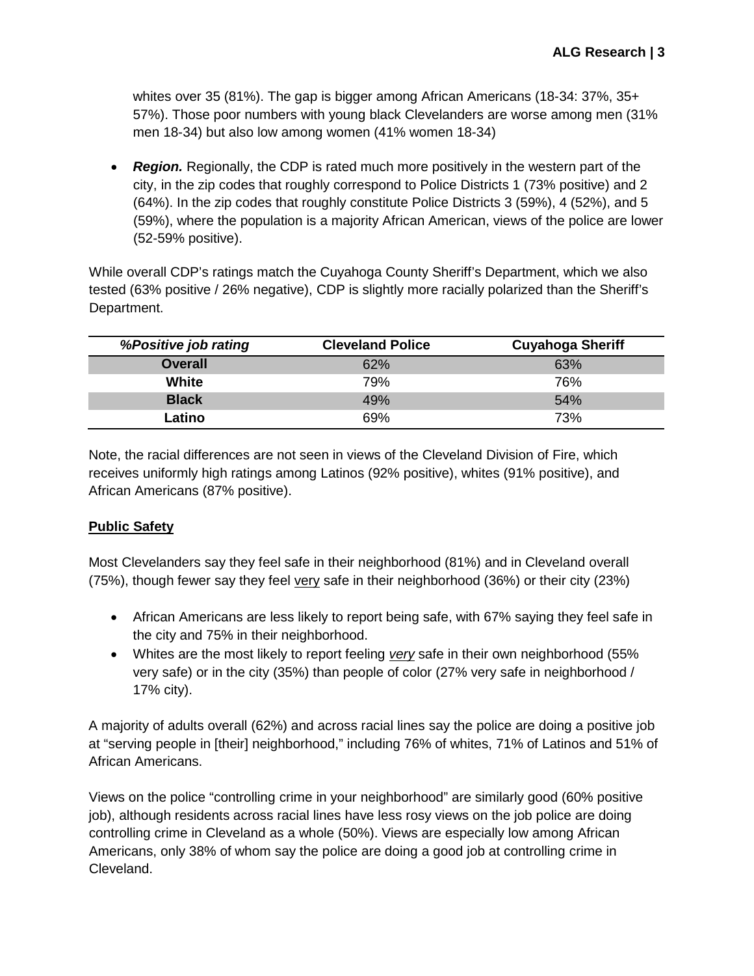whites over 35 (81%). The gap is bigger among African Americans (18-34: 37%, 35+ 57%). Those poor numbers with young black Clevelanders are worse among men (31% men 18-34) but also low among women (41% women 18-34)

• **Region.** Regionally, the CDP is rated much more positively in the western part of the city, in the zip codes that roughly correspond to Police Districts 1 (73% positive) and 2 (64%). In the zip codes that roughly constitute Police Districts 3 (59%), 4 (52%), and 5 (59%), where the population is a majority African American, views of the police are lower (52-59% positive).

While overall CDP's ratings match the Cuyahoga County Sheriff's Department, which we also tested (63% positive / 26% negative), CDP is slightly more racially polarized than the Sheriff's Department.

| %Positive job rating | <b>Cleveland Police</b> | <b>Cuyahoga Sheriff</b> |
|----------------------|-------------------------|-------------------------|
| <b>Overall</b>       | 62%                     | 63%                     |
| White                | 79%                     | 76%                     |
| <b>Black</b>         | 49%                     | 54%                     |
| Latino               | 69%                     | 73%                     |

Note, the racial differences are not seen in views of the Cleveland Division of Fire, which receives uniformly high ratings among Latinos (92% positive), whites (91% positive), and African Americans (87% positive).

## **Public Safety**

Most Clevelanders say they feel safe in their neighborhood (81%) and in Cleveland overall (75%), though fewer say they feel very safe in their neighborhood (36%) or their city (23%)

- African Americans are less likely to report being safe, with 67% saying they feel safe in the city and 75% in their neighborhood.
- Whites are the most likely to report feeling *very* safe in their own neighborhood (55% very safe) or in the city (35%) than people of color (27% very safe in neighborhood / 17% city).

A majority of adults overall (62%) and across racial lines say the police are doing a positive job at "serving people in [their] neighborhood," including 76% of whites, 71% of Latinos and 51% of African Americans.

Views on the police "controlling crime in your neighborhood" are similarly good (60% positive job), although residents across racial lines have less rosy views on the job police are doing controlling crime in Cleveland as a whole (50%). Views are especially low among African Americans, only 38% of whom say the police are doing a good job at controlling crime in Cleveland.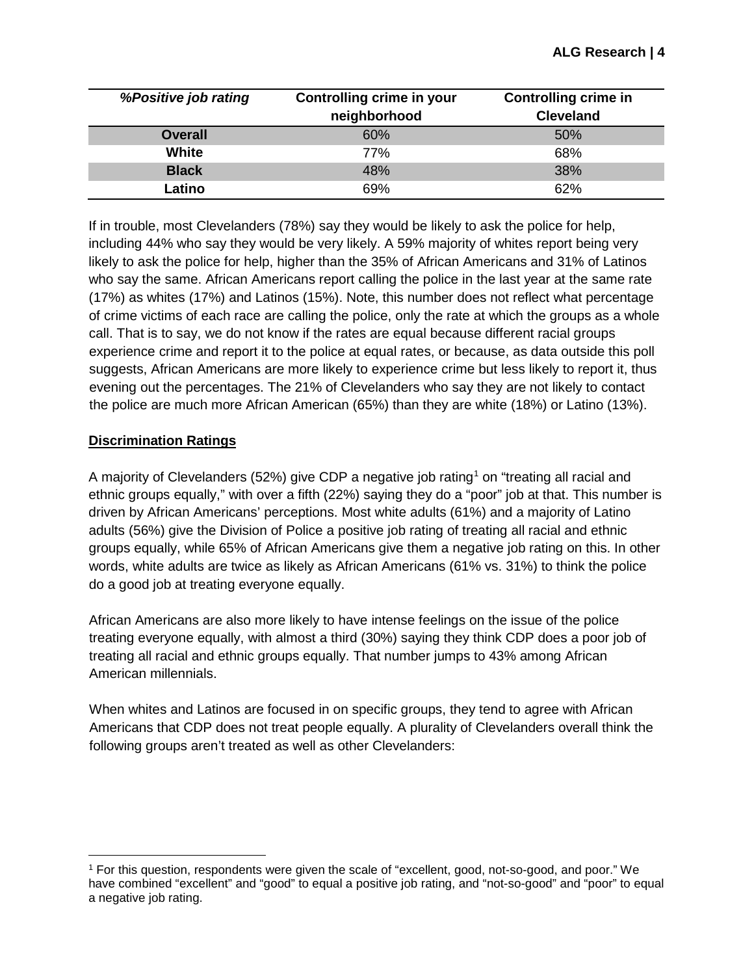| %Positive job rating | Controlling crime in your<br>neighborhood | <b>Controlling crime in</b><br><b>Cleveland</b> |
|----------------------|-------------------------------------------|-------------------------------------------------|
| <b>Overall</b>       | 60%                                       | 50%                                             |
| White                | <b>77%</b>                                | 68%                                             |
| <b>Black</b>         | 48%                                       | 38%                                             |
| Latino               | 69%                                       | 62%                                             |

If in trouble, most Clevelanders (78%) say they would be likely to ask the police for help, including 44% who say they would be very likely. A 59% majority of whites report being very likely to ask the police for help, higher than the 35% of African Americans and 31% of Latinos who say the same. African Americans report calling the police in the last year at the same rate (17%) as whites (17%) and Latinos (15%). Note, this number does not reflect what percentage of crime victims of each race are calling the police, only the rate at which the groups as a whole call. That is to say, we do not know if the rates are equal because different racial groups experience crime and report it to the police at equal rates, or because, as data outside this poll suggests, African Americans are more likely to experience crime but less likely to report it, thus evening out the percentages. The 21% of Clevelanders who say they are not likely to contact the police are much more African American (65%) than they are white (18%) or Latino (13%).

## **Discrimination Ratings**

 $\overline{a}$ 

A majority of Clevelanders (52%) give CDP a negative job rating<sup>[1](#page-3-0)</sup> on "treating all racial and ethnic groups equally," with over a fifth (22%) saying they do a "poor" job at that. This number is driven by African Americans' perceptions. Most white adults (61%) and a majority of Latino adults (56%) give the Division of Police a positive job rating of treating all racial and ethnic groups equally, while 65% of African Americans give them a negative job rating on this. In other words, white adults are twice as likely as African Americans (61% vs. 31%) to think the police do a good job at treating everyone equally.

African Americans are also more likely to have intense feelings on the issue of the police treating everyone equally, with almost a third (30%) saying they think CDP does a poor job of treating all racial and ethnic groups equally. That number jumps to 43% among African American millennials.

When whites and Latinos are focused in on specific groups, they tend to agree with African Americans that CDP does not treat people equally. A plurality of Clevelanders overall think the following groups aren't treated as well as other Clevelanders:

<span id="page-3-0"></span><sup>1</sup> For this question, respondents were given the scale of "excellent, good, not-so-good, and poor." We have combined "excellent" and "good" to equal a positive job rating, and "not-so-good" and "poor" to equal a negative job rating.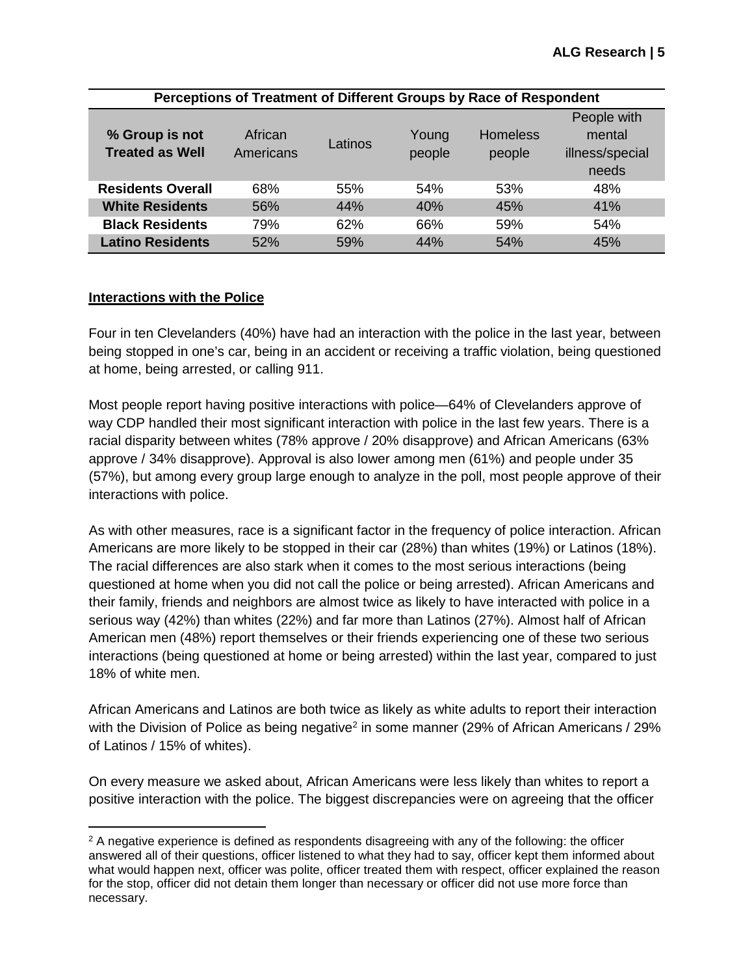| Perceptions of Treatment of Different Groups by Race of Respondent |           |         |        |                 |                 |
|--------------------------------------------------------------------|-----------|---------|--------|-----------------|-----------------|
|                                                                    |           |         |        |                 | People with     |
| % Group is not                                                     | African   | Latinos | Young  | <b>Homeless</b> | mental          |
| <b>Treated as Well</b>                                             | Americans |         | people | people          | illness/special |
|                                                                    |           |         |        |                 | needs           |
| <b>Residents Overall</b>                                           | 68%       | 55%     | 54%    | 53%             | 48%             |
| <b>White Residents</b>                                             | 56%       | 44%     | 40%    | 45%             | 41%             |
| <b>Black Residents</b>                                             | 79%       | 62%     | 66%    | 59%             | 54%             |
| <b>Latino Residents</b>                                            | 52%       | 59%     | 44%    | 54%             | 45%             |

## **Interactions with the Police**

Four in ten Clevelanders (40%) have had an interaction with the police in the last year, between being stopped in one's car, being in an accident or receiving a traffic violation, being questioned at home, being arrested, or calling 911.

Most people report having positive interactions with police—64% of Clevelanders approve of way CDP handled their most significant interaction with police in the last few years. There is a racial disparity between whites (78% approve / 20% disapprove) and African Americans (63% approve / 34% disapprove). Approval is also lower among men (61%) and people under 35 (57%), but among every group large enough to analyze in the poll, most people approve of their interactions with police.

As with other measures, race is a significant factor in the frequency of police interaction. African Americans are more likely to be stopped in their car (28%) than whites (19%) or Latinos (18%). The racial differences are also stark when it comes to the most serious interactions (being questioned at home when you did not call the police or being arrested). African Americans and their family, friends and neighbors are almost twice as likely to have interacted with police in a serious way (42%) than whites (22%) and far more than Latinos (27%). Almost half of African American men (48%) report themselves or their friends experiencing one of these two serious interactions (being questioned at home or being arrested) within the last year, compared to just 18% of white men.

African Americans and Latinos are both twice as likely as white adults to report their interaction with the Division of Police as being negative<sup>2</sup> in some manner (29% of African Americans / 29%) of Latinos / 15% of whites).

On every measure we asked about, African Americans were less likely than whites to report a positive interaction with the police. The biggest discrepancies were on agreeing that the officer

<span id="page-4-0"></span> $\overline{a}$  $2$  A negative experience is defined as respondents disagreeing with any of the following: the officer answered all of their questions, officer listened to what they had to say, officer kept them informed about what would happen next, officer was polite, officer treated them with respect, officer explained the reason for the stop, officer did not detain them longer than necessary or officer did not use more force than necessary.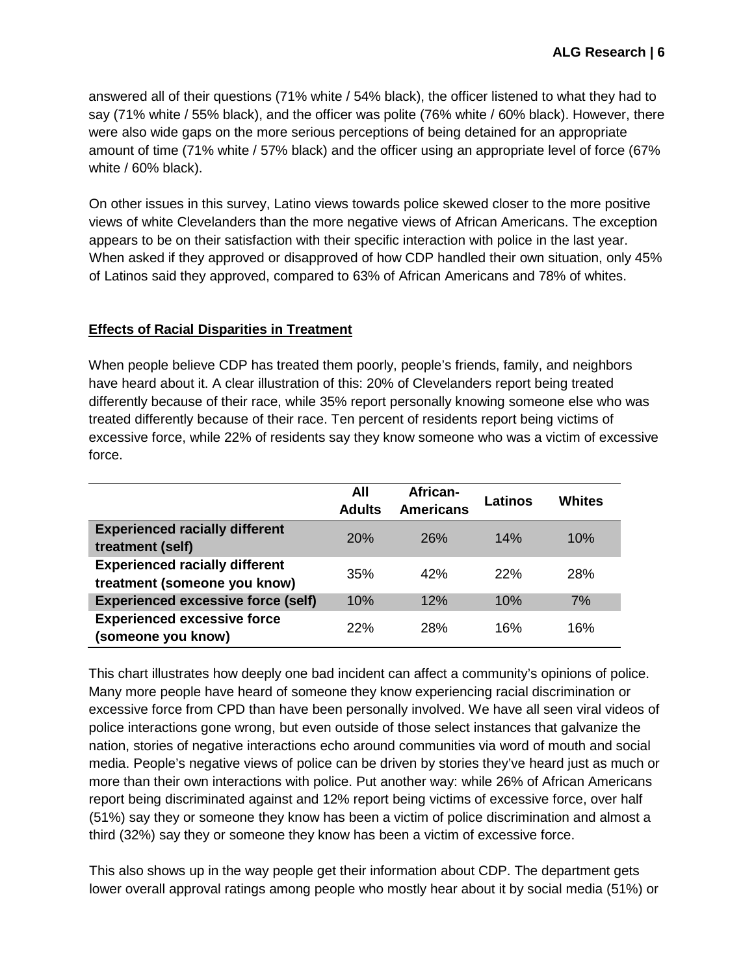answered all of their questions (71% white / 54% black), the officer listened to what they had to say (71% white / 55% black), and the officer was polite (76% white / 60% black). However, there were also wide gaps on the more serious perceptions of being detained for an appropriate amount of time (71% white / 57% black) and the officer using an appropriate level of force (67% white / 60% black).

On other issues in this survey, Latino views towards police skewed closer to the more positive views of white Clevelanders than the more negative views of African Americans. The exception appears to be on their satisfaction with their specific interaction with police in the last year. When asked if they approved or disapproved of how CDP handled their own situation, only 45% of Latinos said they approved, compared to 63% of African Americans and 78% of whites.

## **Effects of Racial Disparities in Treatment**

When people believe CDP has treated them poorly, people's friends, family, and neighbors have heard about it. A clear illustration of this: 20% of Clevelanders report being treated differently because of their race, while 35% report personally knowing someone else who was treated differently because of their race. Ten percent of residents report being victims of excessive force, while 22% of residents say they know someone who was a victim of excessive force.

|                                                                       | All<br><b>Adults</b> | African-<br><b>Americans</b> | Latinos | Whites     |
|-----------------------------------------------------------------------|----------------------|------------------------------|---------|------------|
| <b>Experienced racially different</b><br>treatment (self)             | 20%                  | 26%                          | 14%     | 10%        |
| <b>Experienced racially different</b><br>treatment (someone you know) | 35%                  | 42%                          | 22%     | <b>28%</b> |
| <b>Experienced excessive force (self)</b>                             | 10%                  | 12%                          | 10%     | 7%         |
| <b>Experienced excessive force</b><br>(someone you know)              | 22%                  | 28%                          | 16%     | 16%        |

This chart illustrates how deeply one bad incident can affect a community's opinions of police. Many more people have heard of someone they know experiencing racial discrimination or excessive force from CPD than have been personally involved. We have all seen viral videos of police interactions gone wrong, but even outside of those select instances that galvanize the nation, stories of negative interactions echo around communities via word of mouth and social media. People's negative views of police can be driven by stories they've heard just as much or more than their own interactions with police. Put another way: while 26% of African Americans report being discriminated against and 12% report being victims of excessive force, over half (51%) say they or someone they know has been a victim of police discrimination and almost a third (32%) say they or someone they know has been a victim of excessive force.

This also shows up in the way people get their information about CDP. The department gets lower overall approval ratings among people who mostly hear about it by social media (51%) or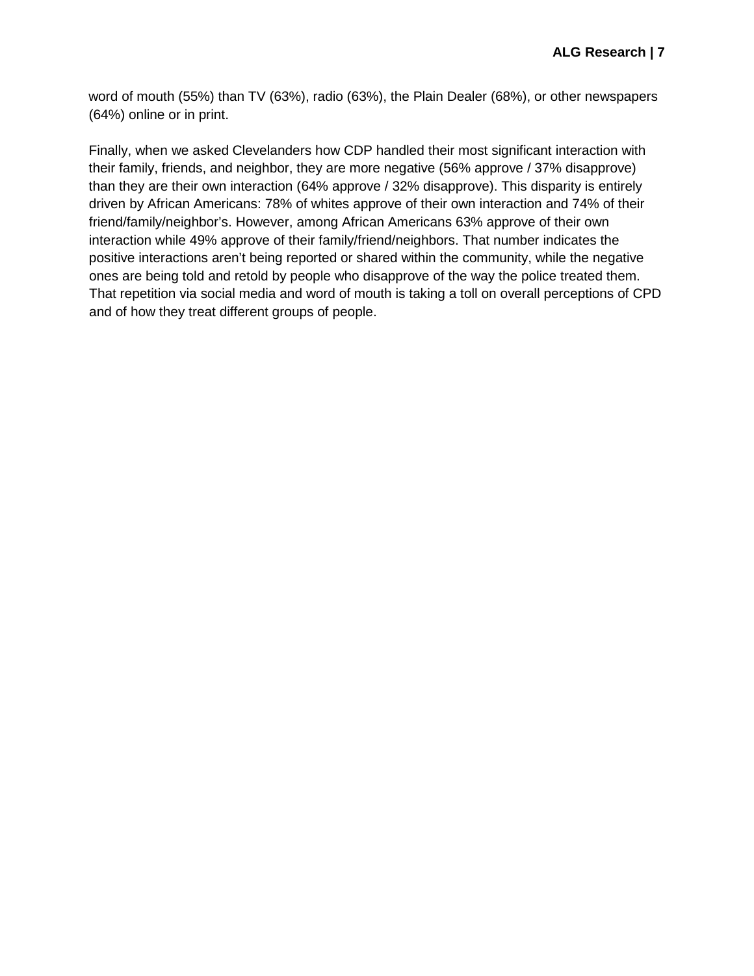word of mouth (55%) than TV (63%), radio (63%), the Plain Dealer (68%), or other newspapers (64%) online or in print.

Finally, when we asked Clevelanders how CDP handled their most significant interaction with their family, friends, and neighbor, they are more negative (56% approve / 37% disapprove) than they are their own interaction (64% approve / 32% disapprove). This disparity is entirely driven by African Americans: 78% of whites approve of their own interaction and 74% of their friend/family/neighbor's. However, among African Americans 63% approve of their own interaction while 49% approve of their family/friend/neighbors. That number indicates the positive interactions aren't being reported or shared within the community, while the negative ones are being told and retold by people who disapprove of the way the police treated them. That repetition via social media and word of mouth is taking a toll on overall perceptions of CPD and of how they treat different groups of people.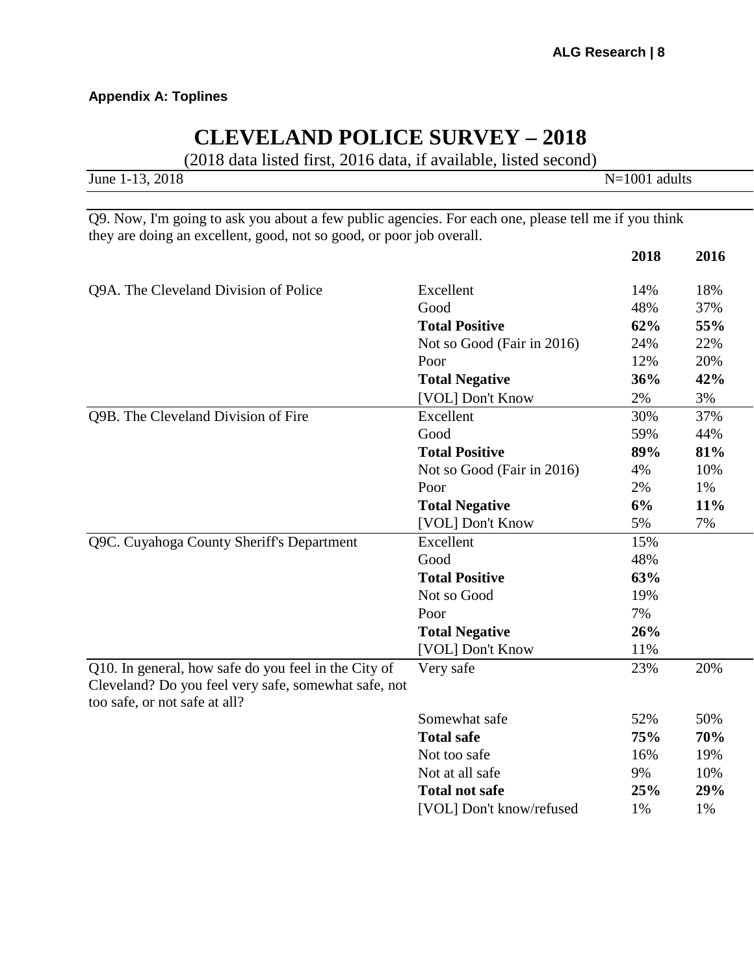## **Appendix A: Toplines**

# **CLEVELAND POLICE SURVEY – 2018**

(2018 data listed first, 2016 data, if available, listed second)

| June 1-13, 2018 | $N=1001$ adults |
|-----------------|-----------------|
|                 |                 |

Q9. Now, I'm going to ask you about a few public agencies. For each one, please tell me if you think they are doing an excellent, good, not so good, or poor job overall.

|                                                                                                                                               |                            | 2018 | 2016 |
|-----------------------------------------------------------------------------------------------------------------------------------------------|----------------------------|------|------|
| Q9A. The Cleveland Division of Police                                                                                                         | Excellent                  | 14%  | 18%  |
|                                                                                                                                               | Good                       | 48%  | 37%  |
|                                                                                                                                               | <b>Total Positive</b>      | 62%  | 55%  |
|                                                                                                                                               | Not so Good (Fair in 2016) | 24%  | 22%  |
|                                                                                                                                               | Poor                       | 12%  | 20%  |
|                                                                                                                                               | <b>Total Negative</b>      | 36%  | 42%  |
|                                                                                                                                               | [VOL] Don't Know           | 2%   | 3%   |
| Q9B. The Cleveland Division of Fire                                                                                                           | Excellent                  | 30%  | 37%  |
|                                                                                                                                               | Good                       | 59%  | 44%  |
|                                                                                                                                               | <b>Total Positive</b>      | 89%  | 81%  |
|                                                                                                                                               | Not so Good (Fair in 2016) | 4%   | 10%  |
|                                                                                                                                               | Poor                       | 2%   | 1%   |
|                                                                                                                                               | <b>Total Negative</b>      | 6%   | 11%  |
|                                                                                                                                               | [VOL] Don't Know           | 5%   | 7%   |
| Q9C. Cuyahoga County Sheriff's Department                                                                                                     | Excellent                  | 15%  |      |
|                                                                                                                                               | Good                       | 48%  |      |
|                                                                                                                                               | <b>Total Positive</b>      | 63%  |      |
|                                                                                                                                               | Not so Good                | 19%  |      |
|                                                                                                                                               | Poor                       | 7%   |      |
|                                                                                                                                               | <b>Total Negative</b>      | 26%  |      |
|                                                                                                                                               | [VOL] Don't Know           | 11%  |      |
| Q10. In general, how safe do you feel in the City of<br>Cleveland? Do you feel very safe, somewhat safe, not<br>too safe, or not safe at all? | Very safe                  | 23%  | 20%  |
|                                                                                                                                               | Somewhat safe              | 52%  | 50%  |
|                                                                                                                                               | <b>Total safe</b>          | 75%  | 70%  |
|                                                                                                                                               | Not too safe               | 16%  | 19%  |
|                                                                                                                                               | Not at all safe            | 9%   | 10%  |
|                                                                                                                                               | <b>Total not safe</b>      | 25%  | 29%  |
|                                                                                                                                               | [VOL] Don't know/refused   | 1%   | 1%   |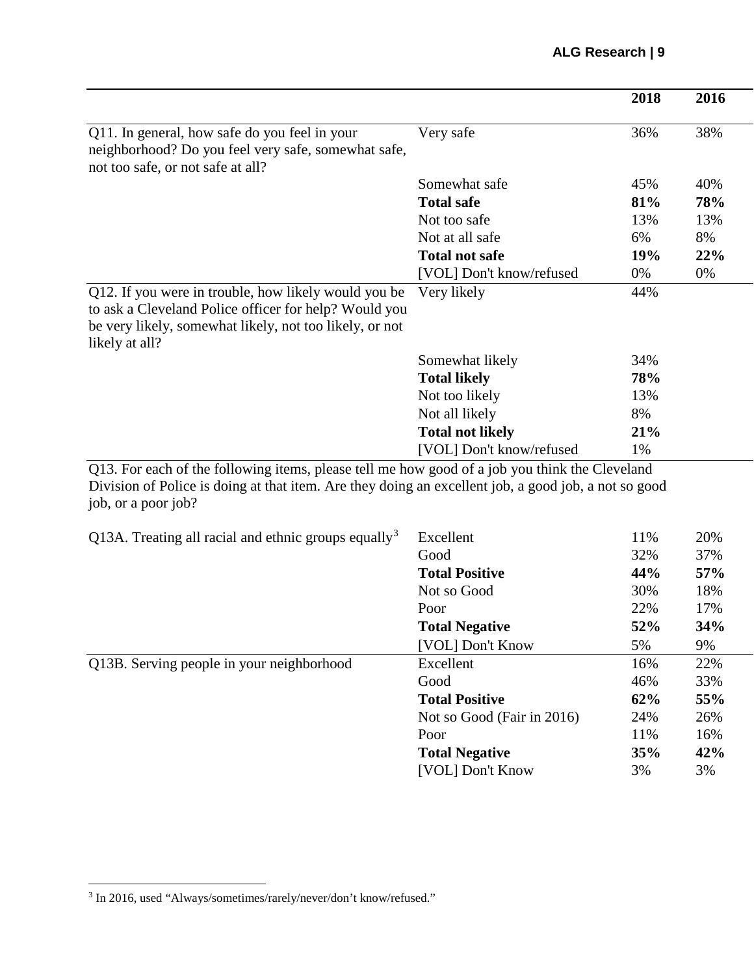|                                                                                                                                                                                                                               |                          | 2018 | 2016 |
|-------------------------------------------------------------------------------------------------------------------------------------------------------------------------------------------------------------------------------|--------------------------|------|------|
| Q11. In general, how safe do you feel in your<br>neighborhood? Do you feel very safe, somewhat safe,<br>not too safe, or not safe at all?                                                                                     | Very safe                | 36%  | 38%  |
|                                                                                                                                                                                                                               | Somewhat safe            | 45%  | 40%  |
|                                                                                                                                                                                                                               | <b>Total safe</b>        | 81%  | 78%  |
|                                                                                                                                                                                                                               | Not too safe             | 13%  | 13%  |
|                                                                                                                                                                                                                               | Not at all safe          | 6%   | 8%   |
|                                                                                                                                                                                                                               | <b>Total not safe</b>    | 19%  | 22%  |
|                                                                                                                                                                                                                               | [VOL] Don't know/refused | 0%   | 0%   |
| Q12. If you were in trouble, how likely would you be<br>to ask a Cleveland Police officer for help? Would you<br>be very likely, somewhat likely, not too likely, or not<br>likely at all?                                    | Very likely              | 44%  |      |
|                                                                                                                                                                                                                               | Somewhat likely          | 34%  |      |
|                                                                                                                                                                                                                               | <b>Total likely</b>      | 78%  |      |
|                                                                                                                                                                                                                               | Not too likely           | 13%  |      |
|                                                                                                                                                                                                                               | Not all likely           | 8%   |      |
|                                                                                                                                                                                                                               | <b>Total not likely</b>  | 21%  |      |
|                                                                                                                                                                                                                               | [VOL] Don't know/refused | 1%   |      |
| Q13. For each of the following items, please tell me how good of a job you think the Cleveland<br>Division of Police is doing at that item. Are they doing an excellent job, a good job, a not so good<br>job, or a poor job? |                          |      |      |

| Q13A. Treating all racial and ethnic groups equally <sup>3</sup> | Excellent                  | 11% | 20% |
|------------------------------------------------------------------|----------------------------|-----|-----|
|                                                                  | Good                       | 32% | 37% |
|                                                                  | <b>Total Positive</b>      | 44% | 57% |
|                                                                  | Not so Good                | 30% | 18% |
|                                                                  | Poor                       | 22% | 17% |
|                                                                  | <b>Total Negative</b>      | 52% | 34% |
|                                                                  | [VOL] Don't Know           | 5%  | 9%  |
| Q13B. Serving people in your neighborhood                        | Excellent                  | 16% | 22% |
|                                                                  | Good                       | 46% | 33% |
|                                                                  | <b>Total Positive</b>      | 62% | 55% |
|                                                                  | Not so Good (Fair in 2016) | 24% | 26% |
|                                                                  | Poor                       | 11% | 16% |
|                                                                  | <b>Total Negative</b>      | 35% | 42% |
|                                                                  | [VOL] Don't Know           | 3%  | 3%  |

<span id="page-8-0"></span> $^3$  In 2016, used "Always/sometimes/rarely/never/don't know/refused."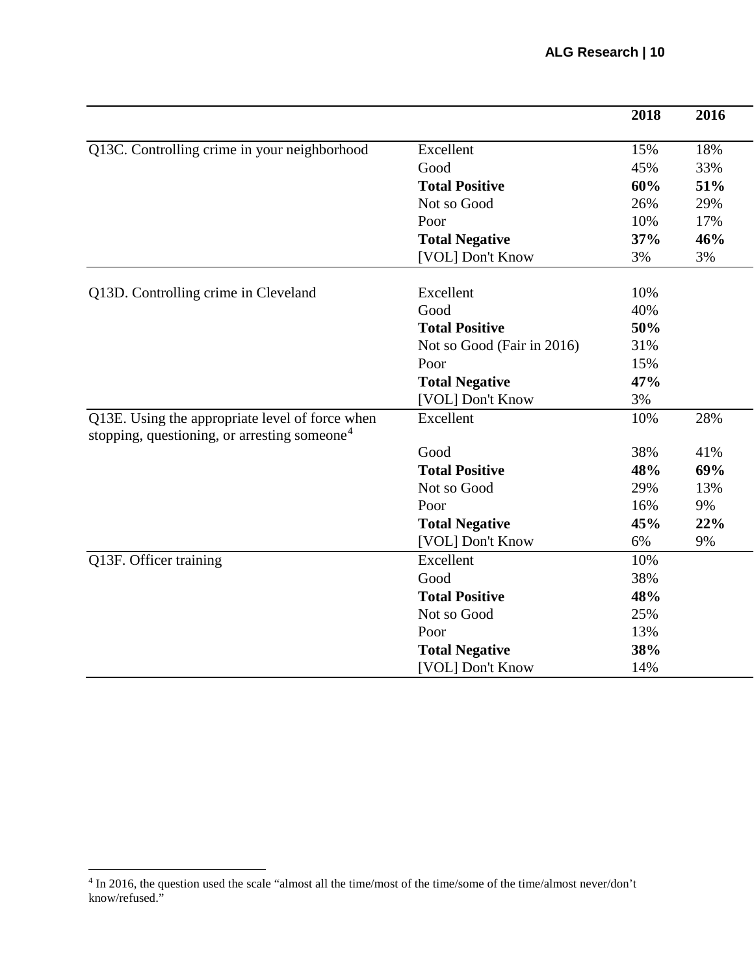|                                                                                                             |                            | 2018 | 2016 |
|-------------------------------------------------------------------------------------------------------------|----------------------------|------|------|
| Q13C. Controlling crime in your neighborhood                                                                | Excellent                  | 15%  | 18%  |
|                                                                                                             | Good                       | 45%  | 33%  |
|                                                                                                             | <b>Total Positive</b>      | 60%  | 51%  |
|                                                                                                             | Not so Good                | 26%  | 29%  |
|                                                                                                             | Poor                       | 10%  | 17%  |
|                                                                                                             | <b>Total Negative</b>      | 37%  | 46%  |
|                                                                                                             | [VOL] Don't Know           | 3%   | 3%   |
| Q13D. Controlling crime in Cleveland                                                                        | Excellent                  | 10%  |      |
|                                                                                                             | Good                       | 40%  |      |
|                                                                                                             | <b>Total Positive</b>      | 50%  |      |
|                                                                                                             | Not so Good (Fair in 2016) | 31%  |      |
|                                                                                                             | Poor                       | 15%  |      |
|                                                                                                             | <b>Total Negative</b>      | 47%  |      |
|                                                                                                             | [VOL] Don't Know           | 3%   |      |
| Q13E. Using the appropriate level of force when<br>stopping, questioning, or arresting someone <sup>4</sup> | Excellent                  | 10%  | 28%  |
|                                                                                                             | Good                       | 38%  | 41%  |
|                                                                                                             | <b>Total Positive</b>      | 48%  | 69%  |
|                                                                                                             | Not so Good                | 29%  | 13%  |
|                                                                                                             | Poor                       | 16%  | 9%   |
|                                                                                                             | <b>Total Negative</b>      | 45%  | 22%  |
|                                                                                                             | [VOL] Don't Know           | 6%   | 9%   |
| Q13F. Officer training                                                                                      | Excellent                  | 10%  |      |
|                                                                                                             | Good                       | 38%  |      |
|                                                                                                             | <b>Total Positive</b>      | 48%  |      |
|                                                                                                             | Not so Good                | 25%  |      |
|                                                                                                             | Poor                       | 13%  |      |
|                                                                                                             | <b>Total Negative</b>      | 38%  |      |
|                                                                                                             | [VOL] Don't Know           | 14%  |      |

<span id="page-9-0"></span><sup>&</sup>lt;sup>4</sup> In 2016, the question used the scale "almost all the time/most of the time/some of the time/almost never/don't know/refused."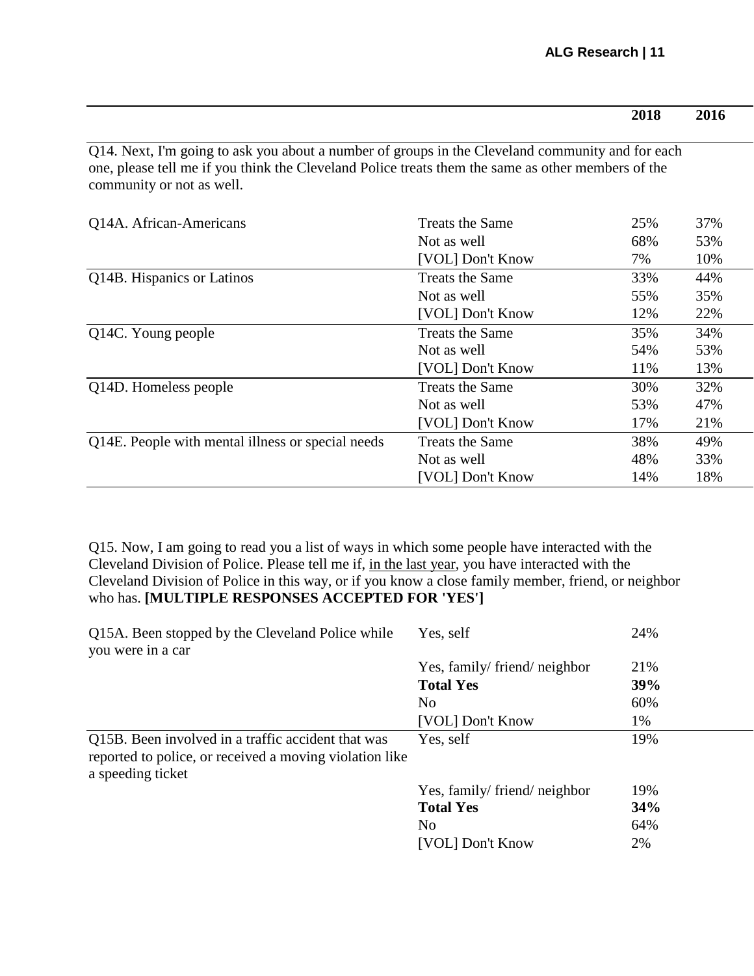|                                                                                                                                                                                                                                     |                        | 2018 | 2016 |
|-------------------------------------------------------------------------------------------------------------------------------------------------------------------------------------------------------------------------------------|------------------------|------|------|
| Q14. Next, I'm going to ask you about a number of groups in the Cleveland community and for each<br>one, please tell me if you think the Cleveland Police treats them the same as other members of the<br>community or not as well. |                        |      |      |
| Q14A. African-Americans                                                                                                                                                                                                             | Treats the Same        | 25%  | 37%  |
|                                                                                                                                                                                                                                     | Not as well            | 68%  | 53%  |
|                                                                                                                                                                                                                                     | [VOL] Don't Know       | 7%   | 10%  |
| Q14B. Hispanics or Latinos                                                                                                                                                                                                          | <b>Treats the Same</b> | 33%  | 44%  |
|                                                                                                                                                                                                                                     | Not as well            | 55%  | 35%  |
|                                                                                                                                                                                                                                     | [VOL] Don't Know       | 12%  | 22%  |
| Q14C. Young people                                                                                                                                                                                                                  | <b>Treats the Same</b> | 35%  | 34%  |
|                                                                                                                                                                                                                                     | Not as well            | 54%  | 53%  |
|                                                                                                                                                                                                                                     | [VOL] Don't Know       | 11%  | 13%  |
| Q14D. Homeless people                                                                                                                                                                                                               | <b>Treats the Same</b> | 30%  | 32%  |
|                                                                                                                                                                                                                                     | Not as well            | 53%  | 47%  |
|                                                                                                                                                                                                                                     | [VOL] Don't Know       | 17%  | 21%  |
| Q14E. People with mental illness or special needs                                                                                                                                                                                   | <b>Treats the Same</b> | 38%  | 49%  |
|                                                                                                                                                                                                                                     | Not as well            | 48%  | 33%  |
|                                                                                                                                                                                                                                     | [VOL] Don't Know       | 14%  | 18%  |

Q15. Now, I am going to read you a list of ways in which some people have interacted with the Cleveland Division of Police. Please tell me if, in the last year, you have interacted with the Cleveland Division of Police in this way, or if you know a close family member, friend, or neighbor who has. **[MULTIPLE RESPONSES ACCEPTED FOR 'YES']**

| Q15A. Been stopped by the Cleveland Police while<br>you were in a car                                                              | Yes, self                   | 24% |
|------------------------------------------------------------------------------------------------------------------------------------|-----------------------------|-----|
|                                                                                                                                    | Yes, family/friend/neighbor | 21% |
|                                                                                                                                    | <b>Total Yes</b>            | 39% |
|                                                                                                                                    | N <sub>0</sub>              | 60% |
|                                                                                                                                    | [VOL] Don't Know            | 1%  |
| Q15B. Been involved in a traffic accident that was<br>reported to police, or received a moving violation like<br>a speeding ticket | Yes, self                   | 19% |
|                                                                                                                                    | Yes, family/friend/neighbor | 19% |
|                                                                                                                                    | <b>Total Yes</b>            | 34% |
|                                                                                                                                    | N <sub>0</sub>              | 64% |
|                                                                                                                                    | [VOL] Don't Know            | 2%  |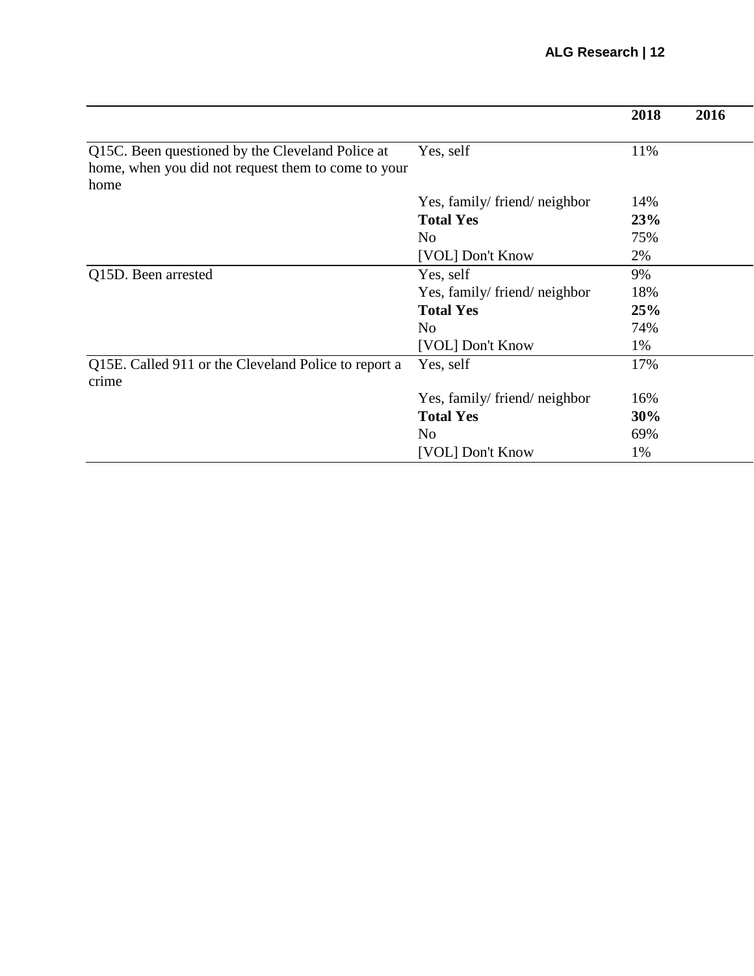|                                                                                                                 |                             | 2018 | 2016 |
|-----------------------------------------------------------------------------------------------------------------|-----------------------------|------|------|
| Q15C. Been questioned by the Cleveland Police at<br>home, when you did not request them to come to your<br>home | Yes, self                   | 11%  |      |
|                                                                                                                 | Yes, family/friend/neighbor | 14%  |      |
|                                                                                                                 | <b>Total Yes</b>            | 23%  |      |
|                                                                                                                 | N <sub>0</sub>              | 75%  |      |
|                                                                                                                 | [VOL] Don't Know            | 2%   |      |
| Q15D. Been arrested                                                                                             | Yes, self                   | 9%   |      |
|                                                                                                                 | Yes, family/friend/neighbor | 18%  |      |
|                                                                                                                 | <b>Total Yes</b>            | 25%  |      |
|                                                                                                                 | N <sub>o</sub>              | 74%  |      |
|                                                                                                                 | [VOL] Don't Know            | 1%   |      |
| Q15E. Called 911 or the Cleveland Police to report a<br>crime                                                   | Yes, self                   | 17%  |      |
|                                                                                                                 | Yes, family/friend/neighbor | 16%  |      |
|                                                                                                                 | <b>Total Yes</b>            | 30%  |      |
|                                                                                                                 | No                          | 69%  |      |
|                                                                                                                 | [VOL] Don't Know            | 1%   |      |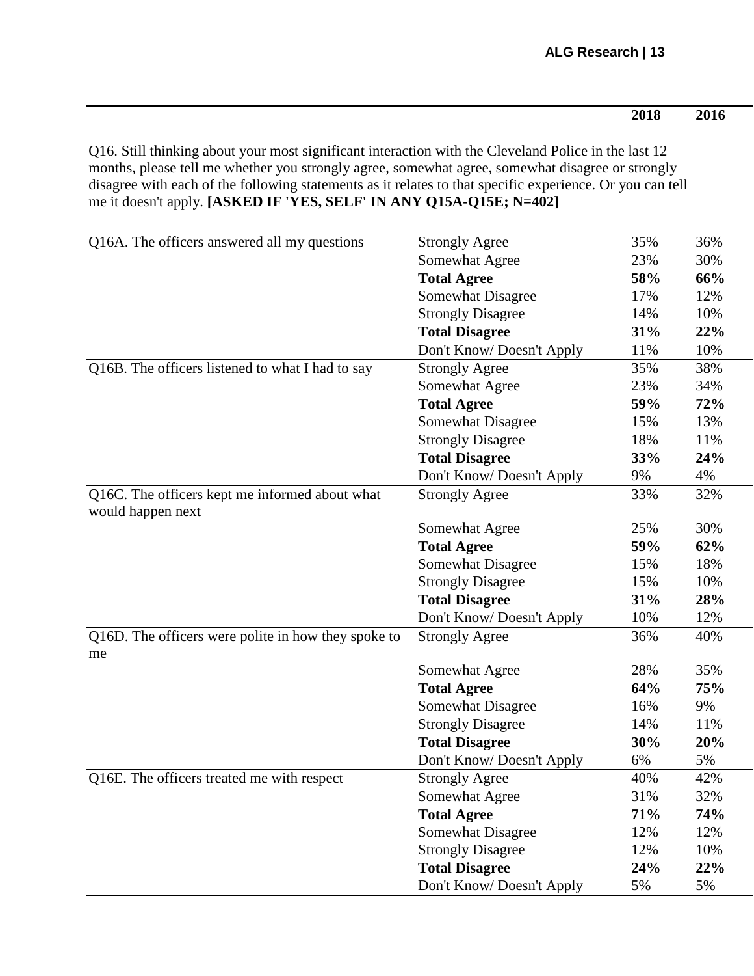| 2018 | 2016 |
|------|------|

Q16. Still thinking about your most significant interaction with the Cleveland Police in the last 12 months, please tell me whether you strongly agree, somewhat agree, somewhat disagree or strongly disagree with each of the following statements as it relates to that specific experience. Or you can tell me it doesn't apply. **[ASKED IF 'YES, SELF' IN ANY Q15A-Q15E; N=402]**

| Q16A. The officers answered all my questions                        | <b>Strongly Agree</b>    | 35% | 36% |
|---------------------------------------------------------------------|--------------------------|-----|-----|
|                                                                     | Somewhat Agree           | 23% | 30% |
|                                                                     | <b>Total Agree</b>       | 58% | 66% |
|                                                                     | <b>Somewhat Disagree</b> | 17% | 12% |
|                                                                     | <b>Strongly Disagree</b> | 14% | 10% |
|                                                                     | <b>Total Disagree</b>    | 31% | 22% |
|                                                                     | Don't Know/Doesn't Apply | 11% | 10% |
| Q16B. The officers listened to what I had to say                    | <b>Strongly Agree</b>    | 35% | 38% |
|                                                                     | Somewhat Agree           | 23% | 34% |
|                                                                     | <b>Total Agree</b>       | 59% | 72% |
|                                                                     | <b>Somewhat Disagree</b> | 15% | 13% |
|                                                                     | <b>Strongly Disagree</b> | 18% | 11% |
|                                                                     | <b>Total Disagree</b>    | 33% | 24% |
|                                                                     | Don't Know/Doesn't Apply | 9%  | 4%  |
| Q16C. The officers kept me informed about what<br>would happen next | <b>Strongly Agree</b>    | 33% | 32% |
|                                                                     | Somewhat Agree           | 25% | 30% |
|                                                                     | <b>Total Agree</b>       | 59% | 62% |
|                                                                     | <b>Somewhat Disagree</b> | 15% | 18% |
|                                                                     | <b>Strongly Disagree</b> | 15% | 10% |
|                                                                     | <b>Total Disagree</b>    | 31% | 28% |
|                                                                     | Don't Know/Doesn't Apply | 10% | 12% |
| Q16D. The officers were polite in how they spoke to<br>me           | <b>Strongly Agree</b>    | 36% | 40% |
|                                                                     | Somewhat Agree           | 28% | 35% |
|                                                                     | <b>Total Agree</b>       | 64% | 75% |
|                                                                     | <b>Somewhat Disagree</b> | 16% | 9%  |
|                                                                     | <b>Strongly Disagree</b> | 14% | 11% |
|                                                                     | <b>Total Disagree</b>    | 30% | 20% |
|                                                                     | Don't Know/Doesn't Apply | 6%  | 5%  |
| Q16E. The officers treated me with respect                          | <b>Strongly Agree</b>    | 40% | 42% |
|                                                                     | Somewhat Agree           | 31% | 32% |
|                                                                     | <b>Total Agree</b>       | 71% | 74% |
|                                                                     | <b>Somewhat Disagree</b> | 12% | 12% |
|                                                                     | <b>Strongly Disagree</b> | 12% | 10% |
|                                                                     | <b>Total Disagree</b>    | 24% | 22% |
|                                                                     | Don't Know/Doesn't Apply | 5%  | 5%  |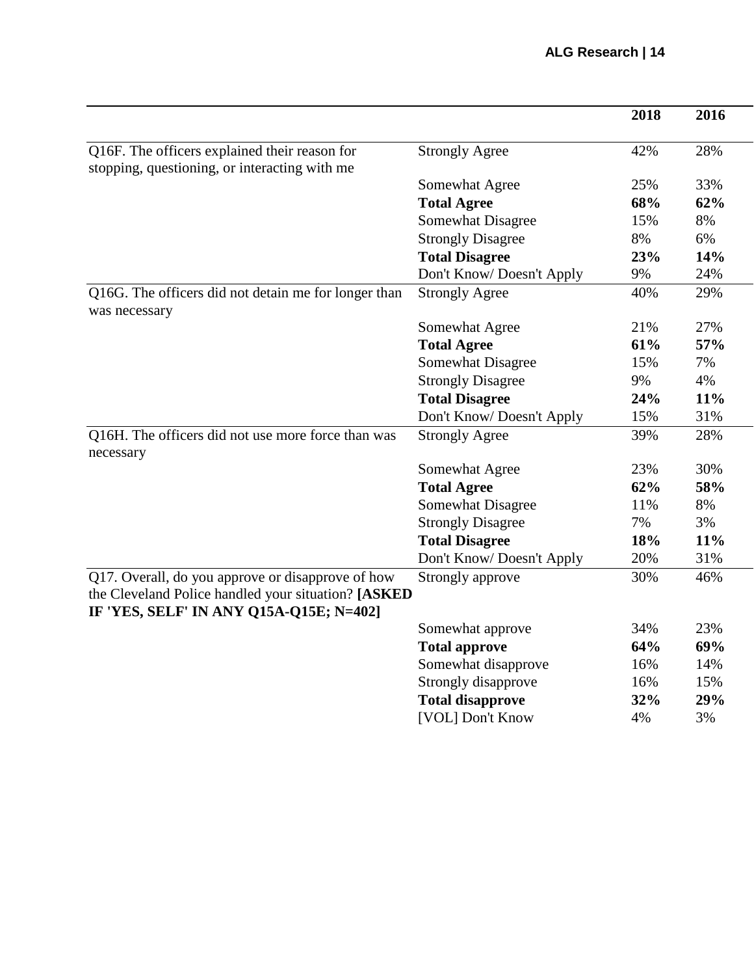|                                                                                                |                          | 2018 | 2016 |
|------------------------------------------------------------------------------------------------|--------------------------|------|------|
|                                                                                                |                          | 42%  | 28%  |
| Q16F. The officers explained their reason for                                                  | <b>Strongly Agree</b>    |      |      |
| stopping, questioning, or interacting with me                                                  |                          | 25%  | 33%  |
|                                                                                                | Somewhat Agree           |      |      |
|                                                                                                | <b>Total Agree</b>       | 68%  | 62%  |
|                                                                                                | <b>Somewhat Disagree</b> | 15%  | 8%   |
|                                                                                                | <b>Strongly Disagree</b> | 8%   | 6%   |
|                                                                                                | <b>Total Disagree</b>    | 23%  | 14%  |
|                                                                                                | Don't Know/Doesn't Apply | 9%   | 24%  |
| Q16G. The officers did not detain me for longer than<br>was necessary                          | <b>Strongly Agree</b>    | 40%  | 29%  |
|                                                                                                | Somewhat Agree           | 21%  | 27%  |
|                                                                                                | <b>Total Agree</b>       | 61%  | 57%  |
|                                                                                                | <b>Somewhat Disagree</b> | 15%  | 7%   |
|                                                                                                | <b>Strongly Disagree</b> | 9%   | 4%   |
|                                                                                                | <b>Total Disagree</b>    | 24%  | 11%  |
|                                                                                                | Don't Know/Doesn't Apply | 15%  | 31%  |
| Q16H. The officers did not use more force than was<br>necessary                                | <b>Strongly Agree</b>    | 39%  | 28%  |
|                                                                                                | Somewhat Agree           | 23%  | 30%  |
|                                                                                                | <b>Total Agree</b>       | 62%  | 58%  |
|                                                                                                | <b>Somewhat Disagree</b> | 11%  | 8%   |
|                                                                                                | <b>Strongly Disagree</b> | 7%   | 3%   |
|                                                                                                | <b>Total Disagree</b>    | 18%  | 11%  |
|                                                                                                | Don't Know/Doesn't Apply | 20%  | 31%  |
| Q17. Overall, do you approve or disapprove of how                                              | Strongly approve         | 30%  | 46%  |
| the Cleveland Police handled your situation? [ASKED<br>IF 'YES, SELF' IN ANY Q15A-Q15E; N=402] |                          |      |      |
|                                                                                                | Somewhat approve         | 34%  | 23%  |
|                                                                                                | <b>Total approve</b>     | 64%  | 69%  |
|                                                                                                | Somewhat disapprove      | 16%  | 14%  |
|                                                                                                | Strongly disapprove      | 16%  | 15%  |
|                                                                                                | <b>Total disapprove</b>  | 32%  | 29%  |
|                                                                                                | [VOL] Don't Know         | 4%   | 3%   |
|                                                                                                |                          |      |      |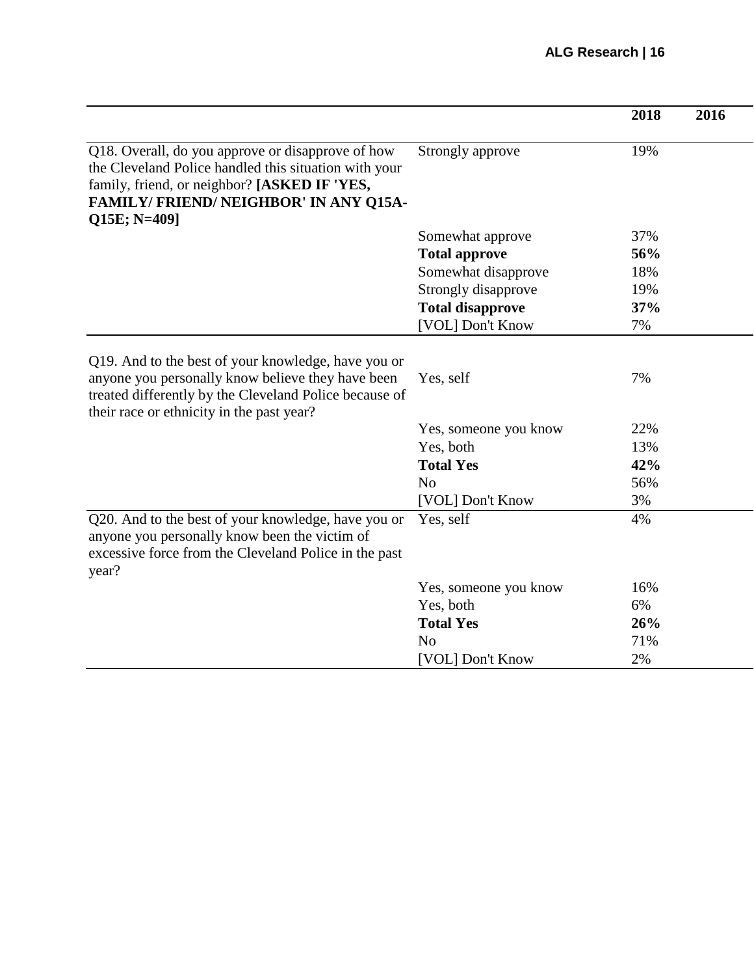|                                                                                                                                                                                                                           |                         | 2018 | 2016 |
|---------------------------------------------------------------------------------------------------------------------------------------------------------------------------------------------------------------------------|-------------------------|------|------|
| Q18. Overall, do you approve or disapprove of how<br>the Cleveland Police handled this situation with your<br>family, friend, or neighbor? [ASKED IF 'YES,<br><b>FAMILY/FRIEND/NEIGHBOR' IN ANY Q15A-</b><br>Q15E; N=409] | Strongly approve        | 19%  |      |
|                                                                                                                                                                                                                           | Somewhat approve        | 37%  |      |
|                                                                                                                                                                                                                           | <b>Total approve</b>    | 56%  |      |
|                                                                                                                                                                                                                           | Somewhat disapprove     | 18%  |      |
|                                                                                                                                                                                                                           | Strongly disapprove     | 19%  |      |
|                                                                                                                                                                                                                           | <b>Total disapprove</b> | 37%  |      |
|                                                                                                                                                                                                                           | [VOL] Don't Know        | 7%   |      |
| Q19. And to the best of your knowledge, have you or<br>anyone you personally know believe they have been<br>treated differently by the Cleveland Police because of<br>their race or ethnicity in the past year?           | Yes, self               | 7%   |      |
|                                                                                                                                                                                                                           | Yes, someone you know   | 22%  |      |
|                                                                                                                                                                                                                           | Yes, both               | 13%  |      |
|                                                                                                                                                                                                                           | <b>Total Yes</b>        | 42%  |      |
|                                                                                                                                                                                                                           | N <sub>0</sub>          | 56%  |      |
|                                                                                                                                                                                                                           | [VOL] Don't Know        | 3%   |      |
| Q20. And to the best of your knowledge, have you or<br>anyone you personally know been the victim of<br>excessive force from the Cleveland Police in the past<br>year?                                                    | Yes, self               | 4%   |      |
|                                                                                                                                                                                                                           | Yes, someone you know   | 16%  |      |
|                                                                                                                                                                                                                           | Yes, both               | 6%   |      |
|                                                                                                                                                                                                                           | <b>Total Yes</b>        | 26%  |      |
|                                                                                                                                                                                                                           | N <sub>0</sub>          | 71%  |      |
|                                                                                                                                                                                                                           | [VOL] Don't Know        | 2%   |      |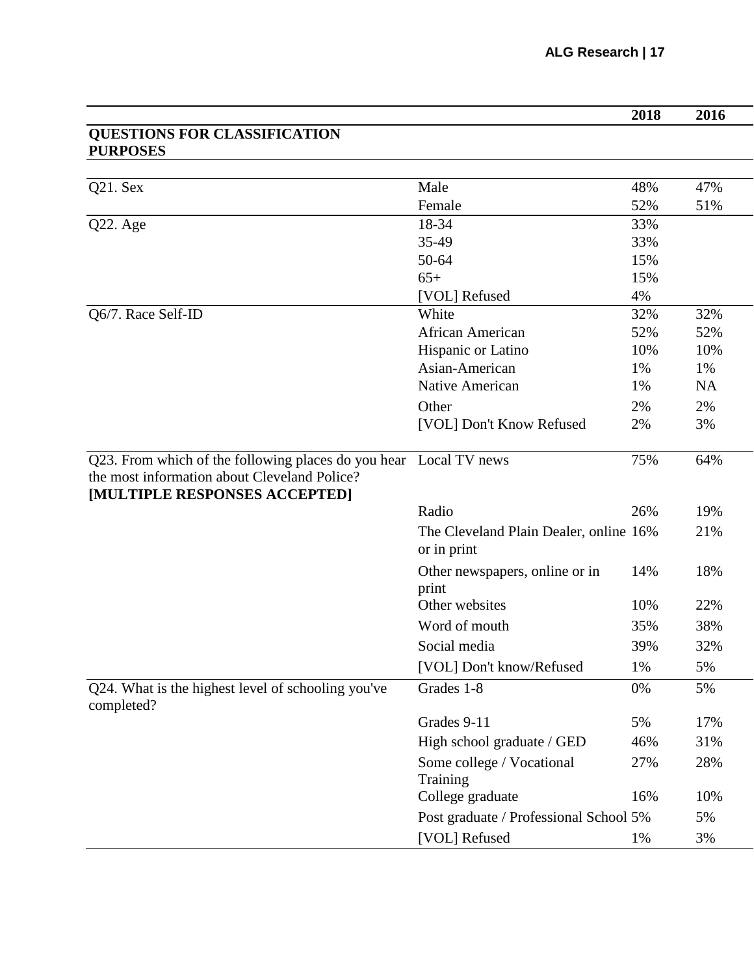|                                                                                                                                                    |                                                       | 2018 | 2016      |
|----------------------------------------------------------------------------------------------------------------------------------------------------|-------------------------------------------------------|------|-----------|
| <b>QUESTIONS FOR CLASSIFICATION</b><br><b>PURPOSES</b>                                                                                             |                                                       |      |           |
|                                                                                                                                                    |                                                       |      |           |
| Q21. Sex                                                                                                                                           | Male                                                  | 48%  | 47%       |
|                                                                                                                                                    | Female                                                | 52%  | 51%       |
| Q22. Age                                                                                                                                           | 18-34                                                 | 33%  |           |
|                                                                                                                                                    | 35-49                                                 | 33%  |           |
|                                                                                                                                                    | 50-64                                                 | 15%  |           |
|                                                                                                                                                    | $65+$                                                 | 15%  |           |
|                                                                                                                                                    | [VOL] Refused                                         | 4%   |           |
| Q6/7. Race Self-ID                                                                                                                                 | White                                                 | 32%  | 32%       |
|                                                                                                                                                    | <b>African American</b>                               | 52%  | 52%       |
|                                                                                                                                                    | Hispanic or Latino                                    | 10%  | 10%       |
|                                                                                                                                                    | Asian-American                                        | 1%   | 1%        |
|                                                                                                                                                    | Native American                                       | 1%   | <b>NA</b> |
|                                                                                                                                                    | Other                                                 | 2%   | 2%        |
|                                                                                                                                                    | [VOL] Don't Know Refused                              | 2%   | 3%        |
| Q23. From which of the following places do you hear Local TV news<br>the most information about Cleveland Police?<br>[MULTIPLE RESPONSES ACCEPTED] |                                                       | 75%  | 64%       |
|                                                                                                                                                    | Radio                                                 | 26%  | 19%       |
|                                                                                                                                                    | The Cleveland Plain Dealer, online 16%<br>or in print |      | 21%       |
|                                                                                                                                                    | Other newspapers, online or in<br>print               | 14%  | 18%       |
|                                                                                                                                                    | Other websites                                        | 10%  | 22%       |
|                                                                                                                                                    | Word of mouth                                         | 35%  | 38%       |
|                                                                                                                                                    | Social media                                          | 39%  | 32%       |
|                                                                                                                                                    | [VOL] Don't know/Refused                              | 1%   | 5%        |
| Q24. What is the highest level of schooling you've<br>completed?                                                                                   | Grades 1-8                                            | 0%   | 5%        |
|                                                                                                                                                    | Grades 9-11                                           | 5%   | 17%       |
|                                                                                                                                                    | High school graduate / GED                            | 46%  | 31%       |
|                                                                                                                                                    | Some college / Vocational                             | 27%  | 28%       |
|                                                                                                                                                    | Training<br>College graduate                          | 16%  | 10%       |
|                                                                                                                                                    | Post graduate / Professional School 5%                |      | 5%        |
|                                                                                                                                                    | [VOL] Refused                                         | 1%   | 3%        |
|                                                                                                                                                    |                                                       |      |           |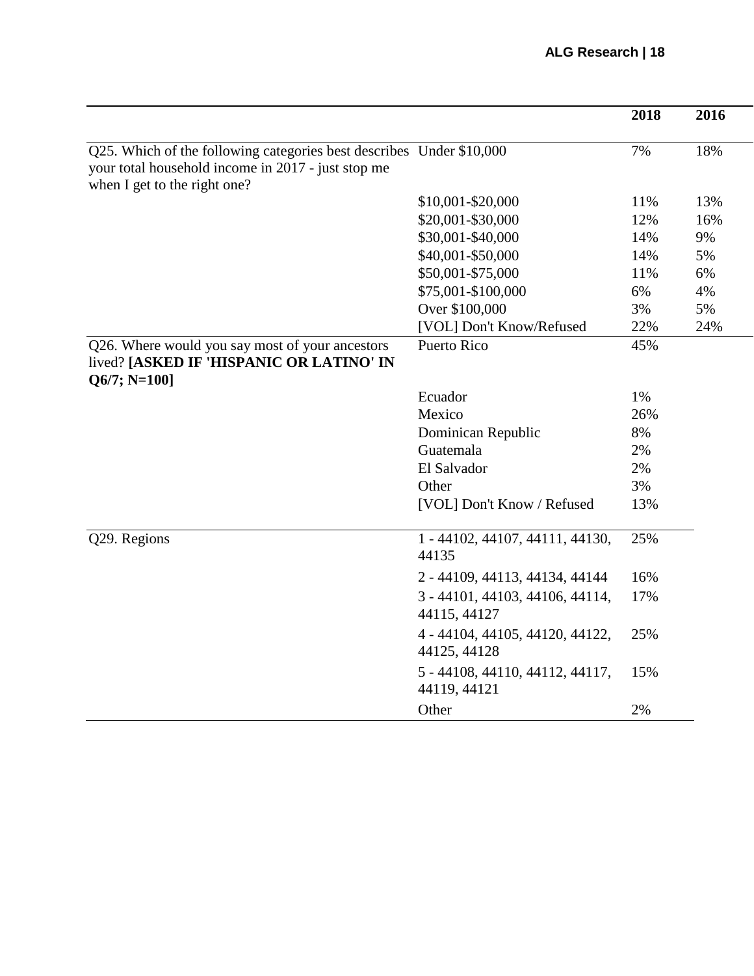|                                                                                                                                                            |                                                 | 2018 | 2016 |
|------------------------------------------------------------------------------------------------------------------------------------------------------------|-------------------------------------------------|------|------|
| Q25. Which of the following categories best describes Under \$10,000<br>your total household income in 2017 - just stop me<br>when I get to the right one? |                                                 | 7%   | 18%  |
|                                                                                                                                                            | \$10,001-\$20,000                               | 11%  | 13%  |
|                                                                                                                                                            | \$20,001-\$30,000                               | 12%  | 16%  |
|                                                                                                                                                            | \$30,001-\$40,000                               | 14%  | 9%   |
|                                                                                                                                                            | \$40,001-\$50,000                               | 14%  | 5%   |
|                                                                                                                                                            | \$50,001-\$75,000                               | 11%  | 6%   |
|                                                                                                                                                            | \$75,001-\$100,000                              | 6%   | 4%   |
|                                                                                                                                                            | Over \$100,000                                  | 3%   | 5%   |
|                                                                                                                                                            | [VOL] Don't Know/Refused                        | 22%  | 24%  |
| Q26. Where would you say most of your ancestors<br>lived? [ASKED IF 'HISPANIC OR LATINO' IN<br>$Q6/7; N=100$ ]                                             | <b>Puerto Rico</b>                              | 45%  |      |
|                                                                                                                                                            | Ecuador                                         | 1%   |      |
|                                                                                                                                                            | Mexico                                          | 26%  |      |
|                                                                                                                                                            | Dominican Republic                              | 8%   |      |
|                                                                                                                                                            | Guatemala                                       | 2%   |      |
|                                                                                                                                                            | El Salvador                                     | 2%   |      |
|                                                                                                                                                            | Other                                           | 3%   |      |
|                                                                                                                                                            | [VOL] Don't Know / Refused                      | 13%  |      |
| Q29. Regions                                                                                                                                               | 1 - 44102, 44107, 44111, 44130,<br>44135        | 25%  |      |
|                                                                                                                                                            | 2 - 44109, 44113, 44134, 44144                  | 16%  |      |
|                                                                                                                                                            | 3 - 44101, 44103, 44106, 44114,<br>44115, 44127 | 17%  |      |
|                                                                                                                                                            | 4 - 44104, 44105, 44120, 44122,<br>44125, 44128 | 25%  |      |
|                                                                                                                                                            | 5 - 44108, 44110, 44112, 44117,<br>44119, 44121 | 15%  |      |
|                                                                                                                                                            | Other                                           | 2%   |      |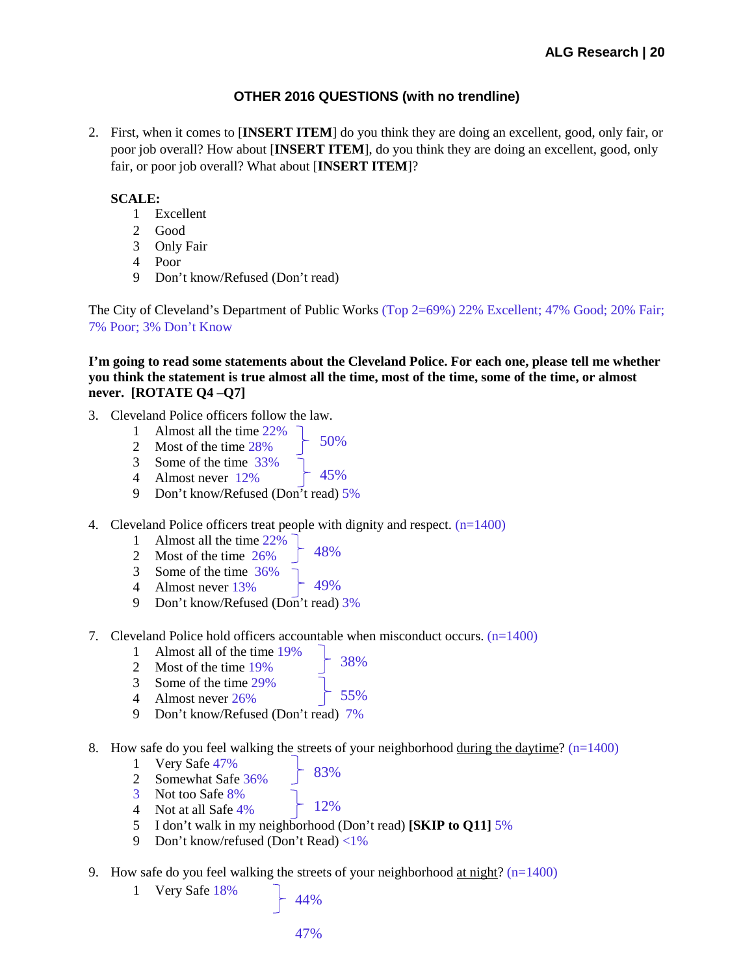## **OTHER 2016 QUESTIONS (with no trendline)**

2. First, when it comes to [**INSERT ITEM**] do you think they are doing an excellent, good, only fair, or poor job overall? How about [**INSERT ITEM**], do you think they are doing an excellent, good, only fair, or poor job overall? What about [**INSERT ITEM**]?

## **SCALE:**

- 1 Excellent
- 2 Good
- 3 Only Fair
- 4 Poor
- 9 Don't know/Refused (Don't read)

The City of Cleveland's Department of Public Works (Top 2=69%) 22% Excellent; 47% Good; 20% Fair; 7% Poor; 3% Don't Know

**I'm going to read some statements about the Cleveland Police. For each one, please tell me whether** you think the statement is true almost all the time, most of the time, some of the time, or almost **never. [ROTATE Q4 –Q7]**

- 3. Cleveland Police officers follow the law.
	- 1 Almost all the time 22%
	- 2 Most of the time 28%
	- 3 Some of the time 33%
	- 45% 4 Almost never 12%
	- 9 Don't know/Refused (Don't read) 5%
- 4. Cleveland Police officers treat people with dignity and respect.  $(n=1400)$

50%

- 1 Almost all the time 22%
- 48% 2 Most of the time 26%
- 3 Some of the time 36%
- 49% 4 Almost never 13%
- 9 Don't know/Refused (Don't read) 3%
- 7. Cleveland Police hold officers accountable when misconduct occurs.  $(n=1400)$ 
	- 1 Almost all of the time 19%
	- 2 Most of the time 19%
	- 3 Some of the time 29%
	- 55% 4 Almost never 26%
	- 9 Don't know/Refused (Don't read) 7%
- 8. How safe do you feel walking the streets of your neighborhood during the daytime?  $(n=1400)$

38%

- 1 Very Safe 47%
	- 83%
- 2 Somewhat Safe 36% 3 Not too Safe 8%
- 4 Not at all Safe 4%
- 12% 5 I don't walk in my neighborhood (Don't read) **[SKIP to Q11]** 5%
- 9 Don't know/refused (Don't Read) <1%
- 9. How safe do you feel walking the streets of your neighborhood at night?  $(n=1400)$ 
	- 1 Very Safe 18%
- 44%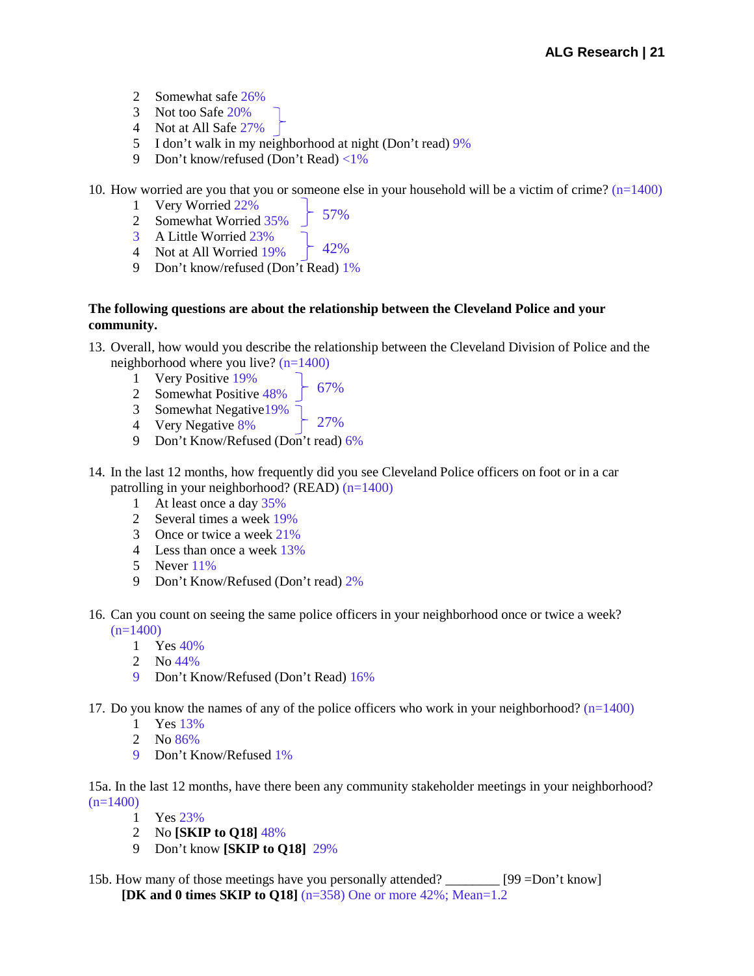- Somewhat safe 26%
- Not too Safe 20%
- Not at All Safe 27%
- I don't walk in my neighborhood at night (Don't read) 9%
- Don't know/refused (Don't Read) <1%

10. How worried are you that you or someone else in your household will be a victim of crime?  $(n=1400)$ 

- Very Worried 22%
- 57%
- Somewhat Worried 35% A Little Worried 23%
- 42% Not at All Worried 19%
- Don't know/refused (Don't Read) 1%

### **The following questions are about the relationship between the Cleveland Police and your community.**

- 13. Overall, how would you describe the relationship between the Cleveland Division of Police and the neighborhood where you live? (n=1400)
	- Very Positive 19%
	- 67% Somewhat Positive 48%
	- 27% Somewhat Negative19%
	- Very Negative 8%
	- Don't Know/Refused (Don't read) 6%
- 14. In the last 12 months, how frequently did you see Cleveland Police officers on foot or in a car patrolling in your neighborhood? (READ) (n=1400)
	- At least once a day 35%
	- Several times a week 19%
	- Once or twice a week 21%
	- Less than once a week 13%
	- Never 11%
	- Don't Know/Refused (Don't read) 2%
- 16. Can you count on seeing the same police officers in your neighborhood once or twice a week?  $(n=1400)$ 
	- Yes 40%
	- No 44%
	- Don't Know/Refused (Don't Read) 16%
- 17. Do you know the names of any of the police officers who work in your neighborhood?  $(n=1400)$ 
	- Yes 13%
	- No 86%
	- Don't Know/Refused 1%

15a. In the last 12 months, have there been any community stakeholder meetings in your neighborhood?  $(n=1400)$ 

- Yes 23%
- No **[SKIP to Q18]** 48%
- Don't know **[SKIP to Q18]** 29%
- 15b. How many of those meetings have you personally attended? \_\_\_\_\_\_\_\_ [99 =Don't know] **[DK and 0 times SKIP to Q18]** (n=358) One or more 42%; Mean=1.2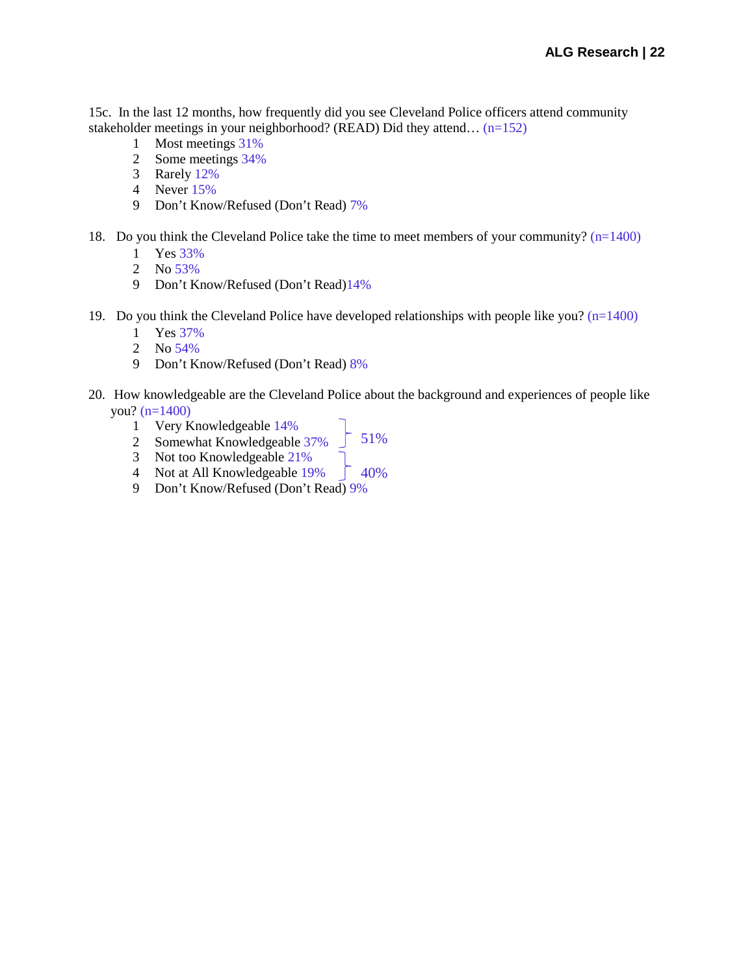15c. In the last 12 months, how frequently did you see Cleveland Police officers attend community stakeholder meetings in your neighborhood? (READ) Did they attend… (n=152)

- Most meetings 31%
- Some meetings 34%
- Rarely 12%
- Never 15%
- Don't Know/Refused (Don't Read) 7%
- 18. Do you think the Cleveland Police take the time to meet members of your community? (n=1400)
	- Yes 33%
	- No 53%
	- Don't Know/Refused (Don't Read)14%
- 19. Do you think the Cleveland Police have developed relationships with people like you?  $(n=1400)$ 
	- Yes 37%
	- No 54%
	- Don't Know/Refused (Don't Read) 8%
- 20. How knowledgeable are the Cleveland Police about the background and experiences of people like you? (n=1400)
	- Very Knowledgeable 14%
	- 51% Somewhat Knowledgeable 37%
	- Not too Knowledgeable 21%
	- 40% Not at All Knowledgeable 19%
	- Don't Know/Refused (Don't Read) 9%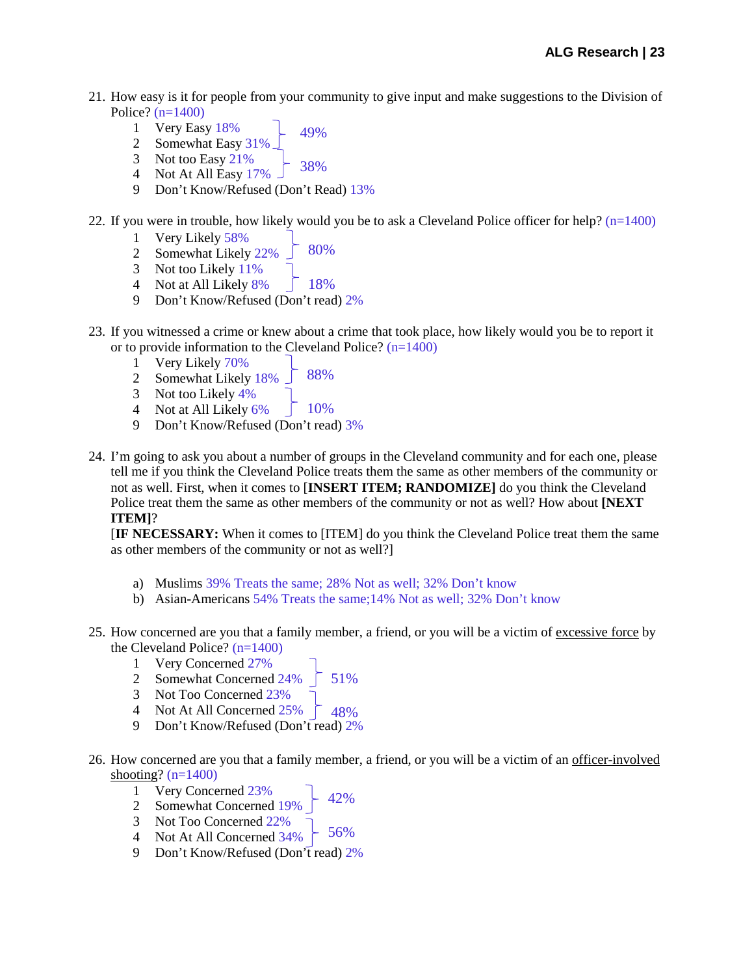- 21. How easy is it for people from your community to give input and make suggestions to the Division of Police?  $(n=1400)$ 
	- 49% 1 Very Easy 18%
	- 2 Somewhat Easy 319
	- 3 Not too Easy 21%
	- 38% 4 Not At All Easy 17%
	- 9 Don't Know/Refused (Don't Read) 13%
- 22. If you were in trouble, how likely would you be to ask a Cleveland Police officer for help? (n=1400)
	- 1 Very Likely 58%
	- 80% 2 Somewhat Likely 22%
	- 3 Not too Likely 11%
	- 4 Not at All Likely 8%
	- 9 Don't Know/Refused (Don't read) 2%
- 23. If you witnessed a crime or knew about a crime that took place, how likely would you be to report it or to provide information to the Cleveland Police?  $(n=1400)$

18%

- 1 Very Likely 70%
- 88% 2 Somewhat Likely 18%
- 3 Not too Likely 4%
- $10%$ 4 Not at All Likely 6%
- 9 Don't Know/Refused (Don't read) 3%
- 24. I'm going to ask you about a number of groups in the Cleveland community and for each one, please tell me if you think the Cleveland Police treats them the same as other members of the community or not as well. First, when it comes to [**INSERT ITEM; RANDOMIZE]** do you think the Cleveland Police treat them the same as other members of the community or not as well? How about **[NEXT ITEM]**?

[**IF NECESSARY:** When it comes to [ITEM] do you think the Cleveland Police treat them the same as other members of the community or not as well?]

- a) Muslims 39% Treats the same; 28% Not as well; 32% Don't know
- b) Asian-Americans 54% Treats the same;14% Not as well; 32% Don't know
- 25. How concerned are you that a family member, a friend, or you will be a victim of excessive force by the Cleveland Police? (n=1400)
	- 1 Very Concerned 27%
	- 51% 2 Somewhat Concerned 24%
	- 3 Not Too Concerned 23%
	- $-48%$ 4 Not At All Concerned 25%
	- 9 Don't Know/Refused (Don't read) 2%
- 26. How concerned are you that a family member, a friend, or you will be a victim of an officer-involved shooting?  $(n=1400)$ 
	- 42% 1 Very Concerned 23%
	- 2 Somewhat Concerned 19%
	- 3 Not Too Concerned 22%
	- 56% 4 Not At All Concerned 34%
	- 9 Don't Know/Refused (Don't read) 2%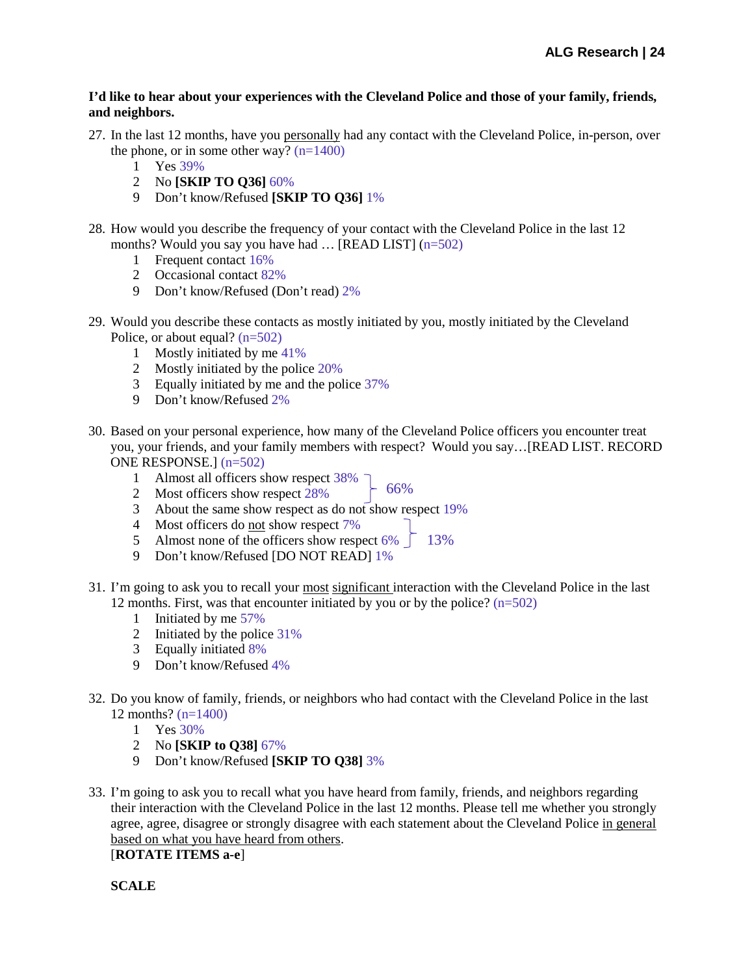#### **I'd like to hear about your experiences with the Cleveland Police and those of your family, friends, and neighbors.**

- 27. In the last 12 months, have you personally had any contact with the Cleveland Police, in-person, over the phone, or in some other way?  $(n=1400)$ 
	- 1 Yes 39%
	- 2 No **[SKIP TO Q36]** 60%
	- 9 Don't know/Refused **[SKIP TO Q36]** 1%
- 28. How would you describe the frequency of your contact with the Cleveland Police in the last 12 months? Would you say you have had  $\ldots$  [READ LIST] (n=502)
	- 1 Frequent contact 16%
	- 2 Occasional contact 82%
	- 9 Don't know/Refused (Don't read) 2%
- 29. Would you describe these contacts as mostly initiated by you, mostly initiated by the Cleveland Police, or about equal?  $(n=502)$ 
	- 1 Mostly initiated by me 41%
	- 2 Mostly initiated by the police 20%
	- 3 Equally initiated by me and the police 37%
	- 9 Don't know/Refused 2%
- 30. Based on your personal experience, how many of the Cleveland Police officers you encounter treat you, your friends, and your family members with respect? Would you say…[READ LIST. RECORD ONE RESPONSE.] (n=502)

66%

- 1 Almost all officers show respect 38%
- 2 Most officers show respect 28%
- 3 About the same show respect as do not show respect 19%
- 4 Most officers do not show respect 7%
- 5 Almost none of the officers show respect  $6\%$   $\int$  13%
- 9 Don't know/Refused [DO NOT READ] 1%
- 31. I'm going to ask you to recall your most significant interaction with the Cleveland Police in the last 12 months. First, was that encounter initiated by you or by the police?  $(n=502)$ 
	- 1 Initiated by me 57%
	- 2 Initiated by the police 31%
	- 3 Equally initiated 8%
	- 9 Don't know/Refused 4%
- 32. Do you know of family, friends, or neighbors who had contact with the Cleveland Police in the last 12 months? (n=1400)
	- 1 Yes 30%
	- 2 No **[SKIP to Q38]** 67%
	- 9 Don't know/Refused **[SKIP TO Q38]** 3%
- 33. I'm going to ask you to recall what you have heard from family, friends, and neighbors regarding their interaction with the Cleveland Police in the last 12 months. Please tell me whether you strongly agree, agree, disagree or strongly disagree with each statement about the Cleveland Police in general based on what you have heard from others.

[**ROTATE ITEMS a-e**]

**SCALE**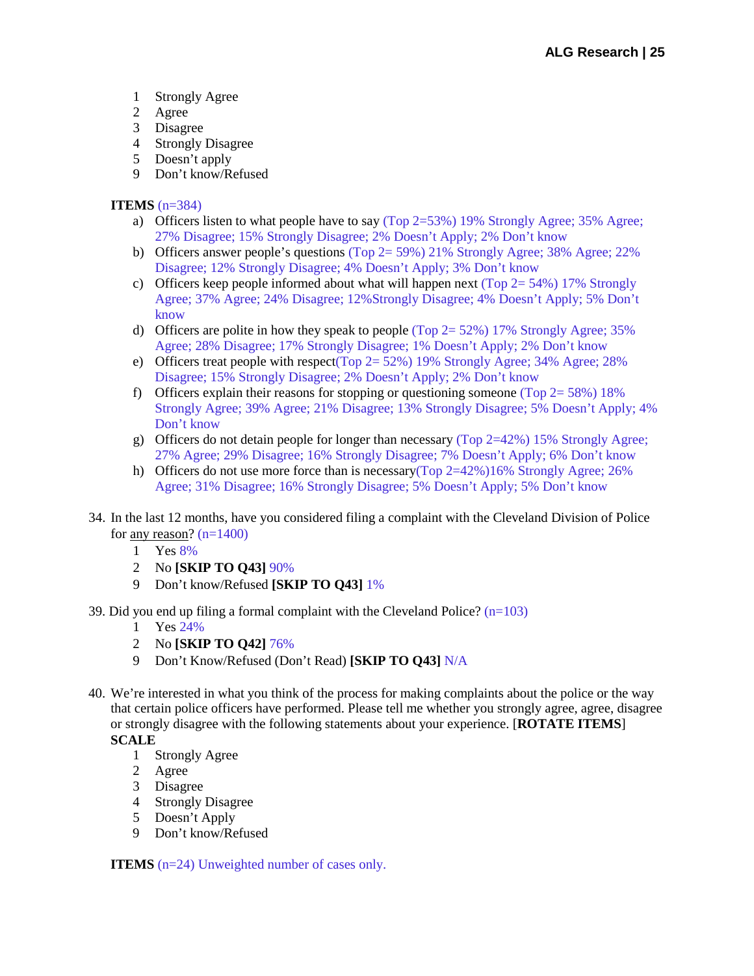- 1 Strongly Agree
- 2 Agree
- 3 Disagree
- 4 Strongly Disagree
- 5 Doesn't apply
- 9 Don't know/Refused

## **ITEMS** (n=384)

- a) Officers listen to what people have to say (Top  $2=53\%$ ) 19% Strongly Agree; 35% Agree; 27% Disagree; 15% Strongly Disagree; 2% Doesn't Apply; 2% Don't know
- b) Officers answer people's questions (Top 2= 59%) 21% Strongly Agree; 38% Agree; 22% Disagree; 12% Strongly Disagree; 4% Doesn't Apply; 3% Don't know
- c) Officers keep people informed about what will happen next (Top  $2 = 54\%$ ) 17% Strongly Agree; 37% Agree; 24% Disagree; 12%Strongly Disagree; 4% Doesn't Apply; 5% Don't know
- d) Officers are polite in how they speak to people (Top  $2 = 52\%$ ) 17% Strongly Agree; 35% Agree; 28% Disagree; 17% Strongly Disagree; 1% Doesn't Apply; 2% Don't know
- e) Officers treat people with respect(Top  $2 = 52\%$ ) 19% Strongly Agree; 34% Agree; 28% Disagree; 15% Strongly Disagree; 2% Doesn't Apply; 2% Don't know
- f) Officers explain their reasons for stopping or questioning someone (Top  $2 = 58\%$ ) 18% Strongly Agree; 39% Agree; 21% Disagree; 13% Strongly Disagree; 5% Doesn't Apply; 4% Don't know
- g) Officers do not detain people for longer than necessary (Top 2=42%) 15% Strongly Agree; 27% Agree; 29% Disagree; 16% Strongly Disagree; 7% Doesn't Apply; 6% Don't know
- h) Officers do not use more force than is necessary(Top  $2=42\%$ )16% Strongly Agree; 26% Agree; 31% Disagree; 16% Strongly Disagree; 5% Doesn't Apply; 5% Don't know
- 34. In the last 12 months, have you considered filing a complaint with the Cleveland Division of Police for <u>any reason</u>?  $(n=1400)$ 
	- 1 Yes 8%
	- 2 No **[SKIP TO Q43]** 90%
	- 9 Don't know/Refused **[SKIP TO Q43]** 1%
- 39. Did you end up filing a formal complaint with the Cleveland Police?  $(n=103)$ 
	- 1 Yes 24%
	- 2 No **[SKIP TO Q42]** 76%
	- 9 Don't Know/Refused (Don't Read) **[SKIP TO Q43]** N/A
- 40. We're interested in what you think of the process for making complaints about the police or the way that certain police officers have performed. Please tell me whether you strongly agree, agree, disagree or strongly disagree with the following statements about your experience. [**ROTATE ITEMS**]

## **SCALE**

- 1 Strongly Agree
- 2 Agree
- 3 Disagree
- 4 Strongly Disagree
- 5 Doesn't Apply
- 9 Don't know/Refused

**ITEMS** (n=24) Unweighted number of cases only.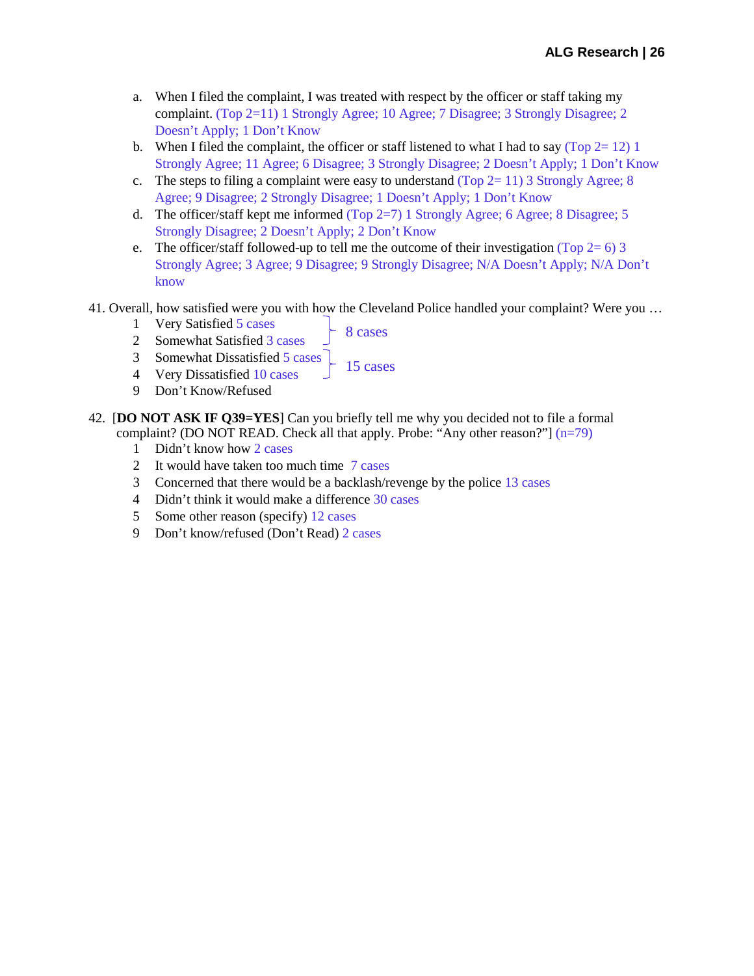- a. When I filed the complaint, I was treated with respect by the officer or staff taking my complaint. (Top 2=11) 1 Strongly Agree; 10 Agree; 7 Disagree; 3 Strongly Disagree; 2 Doesn't Apply; 1 Don't Know
- b. When I filed the complaint, the officer or staff listened to what I had to say (Top  $2=12$ ) 1 Strongly Agree; 11 Agree; 6 Disagree; 3 Strongly Disagree; 2 Doesn't Apply; 1 Don't Know
- c. The steps to filing a complaint were easy to understand (Top  $2=11$ ) 3 Strongly Agree; 8 Agree; 9 Disagree; 2 Strongly Disagree; 1 Doesn't Apply; 1 Don't Know
- d. The officer/staff kept me informed (Top 2=7) 1 Strongly Agree; 6 Agree; 8 Disagree; 5 Strongly Disagree; 2 Doesn't Apply; 2 Don't Know
- e. The officer/staff followed-up to tell me the outcome of their investigation (Top 2= 6) 3 Strongly Agree; 3 Agree; 9 Disagree; 9 Strongly Disagree; N/A Doesn't Apply; N/A Don't know
- 41. Overall, how satisfied were you with how the Cleveland Police handled your complaint? Were you …
	- 1 Very Satisfied 5 cases
- 8 cases
- 2 Somewhat Satisfied 3 cases
- 15 cases 3 Somewhat Dissatisfied 5 cases
- 4 Very Dissatisfied 10 cases
- 9 Don't Know/Refused
- 42. [**DO NOT ASK IF Q39=YES**] Can you briefly tell me why you decided not to file a formal complaint? (DO NOT READ. Check all that apply. Probe: "Any other reason?"] (n=79)
	- 1 Didn't know how 2 cases
	- 2 It would have taken too much time 7 cases
	- 3 Concerned that there would be a backlash/revenge by the police 13 cases
	- 4 Didn't think it would make a difference 30 cases
	- 5 Some other reason (specify) 12 cases
	- 9 Don't know/refused (Don't Read) 2 cases